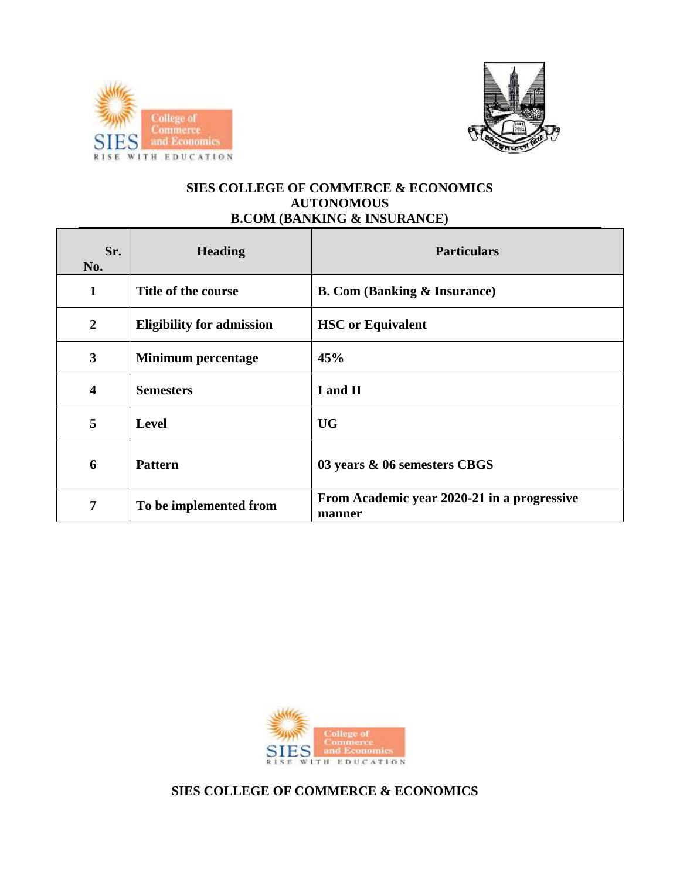



### **SIES COLLEGE OF COMMERCE & ECONOMICS AUTONOMOUS B.COM (BANKING & INSURANCE)**

| Sr.<br>No.              | <b>Heading</b>                   | <b>Particulars</b>                                    |  |
|-------------------------|----------------------------------|-------------------------------------------------------|--|
| 1                       | Title of the course              | <b>B. Com (Banking &amp; Insurance)</b>               |  |
| $\overline{2}$          | <b>Eligibility for admission</b> | <b>HSC</b> or Equivalent                              |  |
| $\overline{\mathbf{3}}$ | <b>Minimum percentage</b>        | 45%                                                   |  |
| $\overline{\mathbf{4}}$ | <b>Semesters</b>                 | I and II                                              |  |
| 5                       | <b>Level</b>                     | <b>UG</b>                                             |  |
| 6                       | <b>Pattern</b>                   | 03 years & 06 semesters CBGS                          |  |
| 7                       | To be implemented from           | From Academic year 2020-21 in a progressive<br>manner |  |



**SIES COLLEGE OF COMMERCE & ECONOMICS**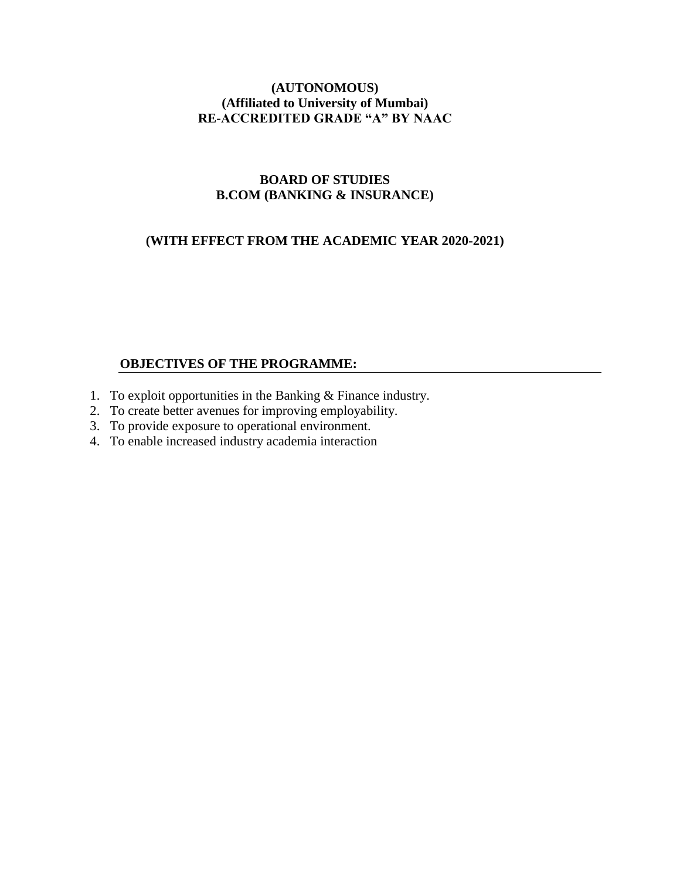# **(AUTONOMOUS) (Affiliated to University of Mumbai) RE-ACCREDITED GRADE "A" BY NAAC**

# **BOARD OF STUDIES B.COM (BANKING & INSURANCE)**

# **(WITH EFFECT FROM THE ACADEMIC YEAR 2020-2021)**

#### **OBJECTIVES OF THE PROGRAMME:**

- 1. To exploit opportunities in the Banking & Finance industry.
- 2. To create better avenues for improving employability.
- 3. To provide exposure to operational environment.
- 4. To enable increased industry academia interaction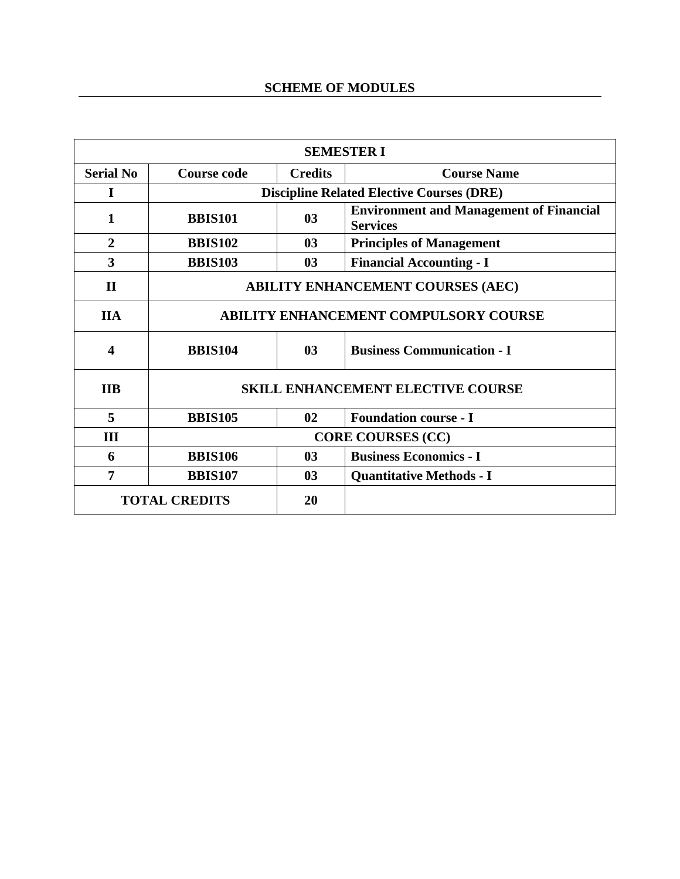| <b>SEMESTER I</b>          |                                                      |                                                     |                                                                   |  |
|----------------------------|------------------------------------------------------|-----------------------------------------------------|-------------------------------------------------------------------|--|
| <b>Serial No</b>           | Course code                                          | <b>Credits</b>                                      | <b>Course Name</b>                                                |  |
| 1                          |                                                      | <b>Discipline Related Elective Courses (DRE)</b>    |                                                                   |  |
| 1                          | <b>BBIS101</b>                                       | 0 <sub>3</sub>                                      | <b>Environment and Management of Financial</b><br><b>Services</b> |  |
| $\overline{2}$             | <b>BBIS102</b>                                       | 03                                                  | <b>Principles of Management</b>                                   |  |
| 3                          | <b>BBIS103</b>                                       | 03                                                  | <b>Financial Accounting - I</b>                                   |  |
| $\mathbf{I}$               | <b>ABILITY ENHANCEMENT COURSES (AEC)</b>             |                                                     |                                                                   |  |
| <b>IIA</b>                 | <b>ABILITY ENHANCEMENT COMPULSORY COURSE</b>         |                                                     |                                                                   |  |
| $\boldsymbol{4}$           | <b>BBIS104</b>                                       | 0 <sub>3</sub><br><b>Business Communication - I</b> |                                                                   |  |
| <b>IIB</b>                 | <b>SKILL ENHANCEMENT ELECTIVE COURSE</b>             |                                                     |                                                                   |  |
| 5                          | <b>BBIS105</b><br><b>Foundation course - I</b><br>02 |                                                     |                                                                   |  |
| Ш                          | <b>CORE COURSES (CC)</b>                             |                                                     |                                                                   |  |
| 6                          | <b>BBIS106</b>                                       | 0 <sub>3</sub>                                      | <b>Business Economics - I</b>                                     |  |
| $\overline{7}$             | <b>BBIS107</b>                                       | 03                                                  | <b>Quantitative Methods - I</b>                                   |  |
| <b>TOTAL CREDITS</b><br>20 |                                                      |                                                     |                                                                   |  |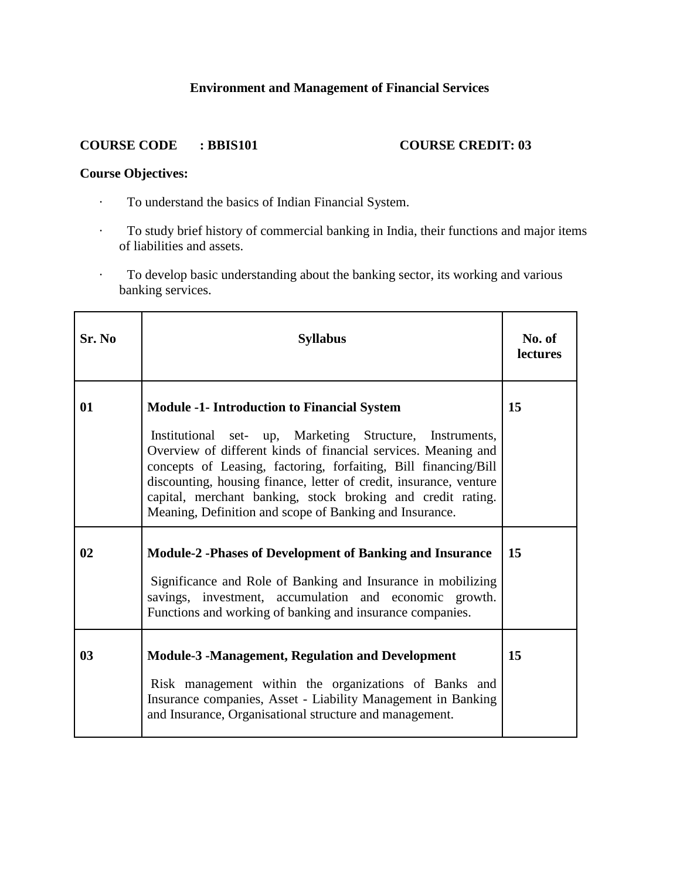# **Environment and Management of Financial Services**

#### **COURSE CODE : BBIS101 COURSE CREDIT: 03**

# **Course Objectives:**

- · To understand the basics of Indian Financial System.
- · To study brief history of commercial banking in India, their functions and major items of liabilities and assets.
- · To develop basic understanding about the banking sector, its working and various banking services.

| Sr. No         | <b>Syllabus</b>                                                                                                                                                                                                                                                                                                                                                                                                                                     | No. of<br><b>lectures</b> |
|----------------|-----------------------------------------------------------------------------------------------------------------------------------------------------------------------------------------------------------------------------------------------------------------------------------------------------------------------------------------------------------------------------------------------------------------------------------------------------|---------------------------|
| 01             | <b>Module -1- Introduction to Financial System</b><br>Institutional set- up, Marketing Structure, Instruments,<br>Overview of different kinds of financial services. Meaning and<br>concepts of Leasing, factoring, forfaiting, Bill financing/Bill<br>discounting, housing finance, letter of credit, insurance, venture<br>capital, merchant banking, stock broking and credit rating.<br>Meaning, Definition and scope of Banking and Insurance. | 15                        |
| 02             | <b>Module-2 -Phases of Development of Banking and Insurance</b><br>Significance and Role of Banking and Insurance in mobilizing<br>savings, investment, accumulation and economic growth.<br>Functions and working of banking and insurance companies.                                                                                                                                                                                              | 15                        |
| 0 <sub>3</sub> | <b>Module-3 -Management, Regulation and Development</b><br>Risk management within the organizations of Banks and<br>Insurance companies, Asset - Liability Management in Banking<br>and Insurance, Organisational structure and management.                                                                                                                                                                                                         | 15                        |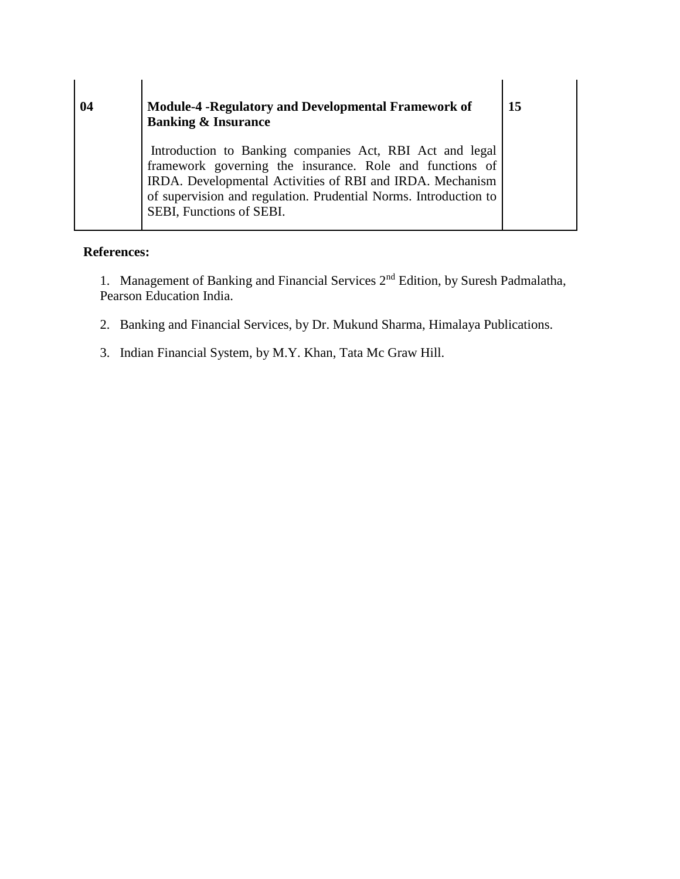| 04 | <b>Module-4 -Regulatory and Developmental Framework of</b><br><b>Banking &amp; Insurance</b>                                                                                                                                                                                      |
|----|-----------------------------------------------------------------------------------------------------------------------------------------------------------------------------------------------------------------------------------------------------------------------------------|
|    | Introduction to Banking companies Act, RBI Act and legal<br>framework governing the insurance. Role and functions of<br>IRDA. Developmental Activities of RBI and IRDA. Mechanism<br>of supervision and regulation. Prudential Norms. Introduction to<br>SEBI, Functions of SEBI. |

1. Management of Banking and Financial Services 2nd Edition, by Suresh Padmalatha, Pearson Education India.

- 2. Banking and Financial Services, by Dr. Mukund Sharma, Himalaya Publications.
- 3. Indian Financial System, by M.Y. Khan, Tata Mc Graw Hill.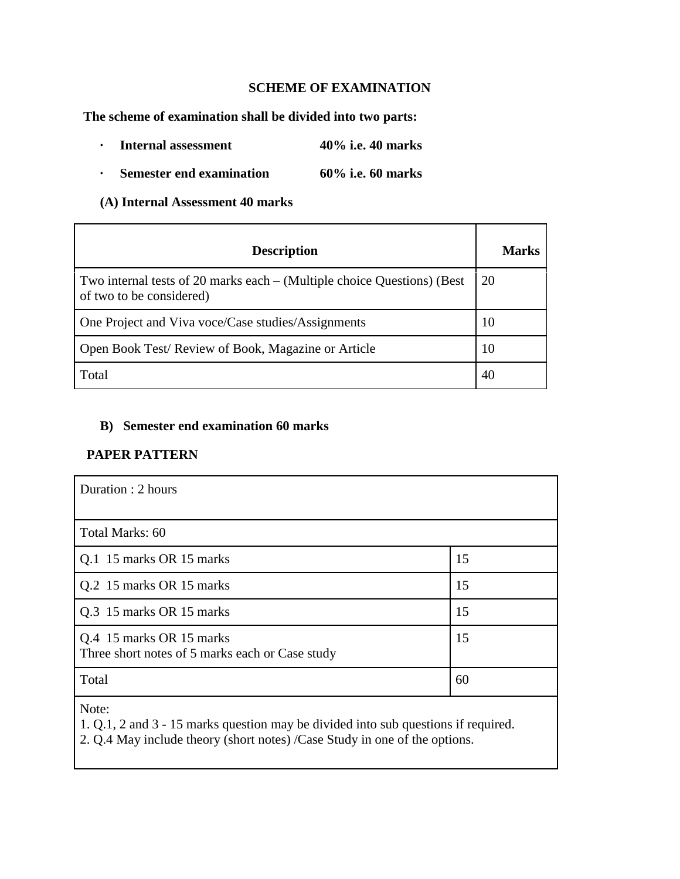### **SCHEME OF EXAMINATION**

**The scheme of examination shall be divided into two parts:**

- **· Internal assessment 40% i.e. 40 marks**
- **· Semester end examination 60% i.e. 60 marks**

**(A) Internal Assessment 40 marks**

| <b>Description</b>                                                                                  | Marks |
|-----------------------------------------------------------------------------------------------------|-------|
| Two internal tests of 20 marks each – (Multiple choice Questions) (Best<br>of two to be considered) | 20    |
| One Project and Viva voce/Case studies/Assignments                                                  | 10    |
| Open Book Test/Review of Book, Magazine or Article                                                  | 10    |
| Total                                                                                               | 40    |

#### **B) Semester end examination 60 marks**

### **PAPER PATTERN**

| Duration : 2 hours                                                          |    |
|-----------------------------------------------------------------------------|----|
| Total Marks: 60                                                             |    |
| Q.1 15 marks OR 15 marks                                                    | 15 |
| Q.2 15 marks OR 15 marks                                                    | 15 |
| Q.3 15 marks OR 15 marks                                                    | 15 |
| Q.4 15 marks OR 15 marks<br>Three short notes of 5 marks each or Case study | 15 |
| Total                                                                       | 60 |

Note:

1. Q.1, 2 and 3 - 15 marks question may be divided into sub questions if required.

2. Q.4 May include theory (short notes) /Case Study in one of the options.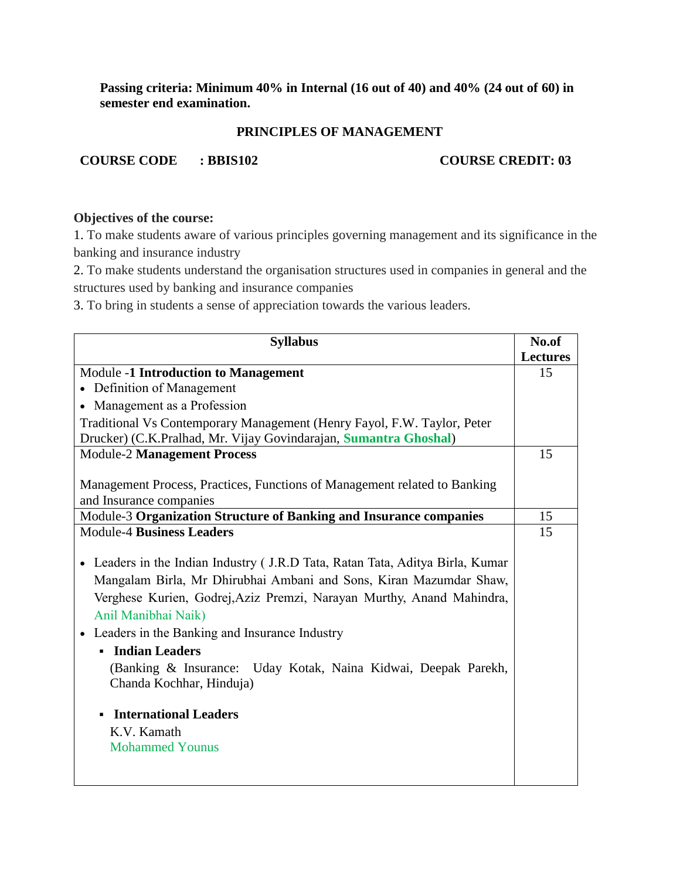**Passing criteria: Minimum 40% in Internal (16 out of 40) and 40% (24 out of 60) in semester end examination.** 

#### **PRINCIPLES OF MANAGEMENT**

**COURSE CODE** : BBIS102 **COURSE CREDIT: 03** 

# **Objectives of the course:**

1. To make students aware of various principles governing management and its significance in the banking and insurance industry

2. To make students understand the organisation structures used in companies in general and the structures used by banking and insurance companies

3. To bring in students a sense of appreciation towards the various leaders.

| <b>Syllabus</b>                                                               | No.of           |
|-------------------------------------------------------------------------------|-----------------|
|                                                                               | <b>Lectures</b> |
| <b>Module -1 Introduction to Management</b>                                   | 15              |
| • Definition of Management                                                    |                 |
| • Management as a Profession                                                  |                 |
| Traditional Vs Contemporary Management (Henry Fayol, F.W. Taylor, Peter       |                 |
| Drucker) (C.K.Pralhad, Mr. Vijay Govindarajan, Sumantra Ghoshal)              |                 |
| <b>Module-2 Management Process</b>                                            | 15              |
|                                                                               |                 |
| Management Process, Practices, Functions of Management related to Banking     |                 |
| and Insurance companies                                                       |                 |
| Module-3 Organization Structure of Banking and Insurance companies            | 15              |
| <b>Module-4 Business Leaders</b>                                              | 15              |
|                                                                               |                 |
| • Leaders in the Indian Industry (J.R.D Tata, Ratan Tata, Aditya Birla, Kumar |                 |
| Mangalam Birla, Mr Dhirubhai Ambani and Sons, Kiran Mazumdar Shaw,            |                 |
| Verghese Kurien, Godrej, Aziz Premzi, Narayan Murthy, Anand Mahindra,         |                 |
| Anil Manibhai Naik)                                                           |                 |
| • Leaders in the Banking and Insurance Industry                               |                 |
| <b>Indian Leaders</b>                                                         |                 |
| (Banking $\&$ Insurance:<br>Uday Kotak, Naina Kidwai, Deepak Parekh,          |                 |
| Chanda Kochhar, Hinduja)                                                      |                 |
|                                                                               |                 |
| <b>International Leaders</b><br>$\blacksquare$                                |                 |
| K.V. Kamath                                                                   |                 |
| <b>Mohammed Younus</b>                                                        |                 |
|                                                                               |                 |
|                                                                               |                 |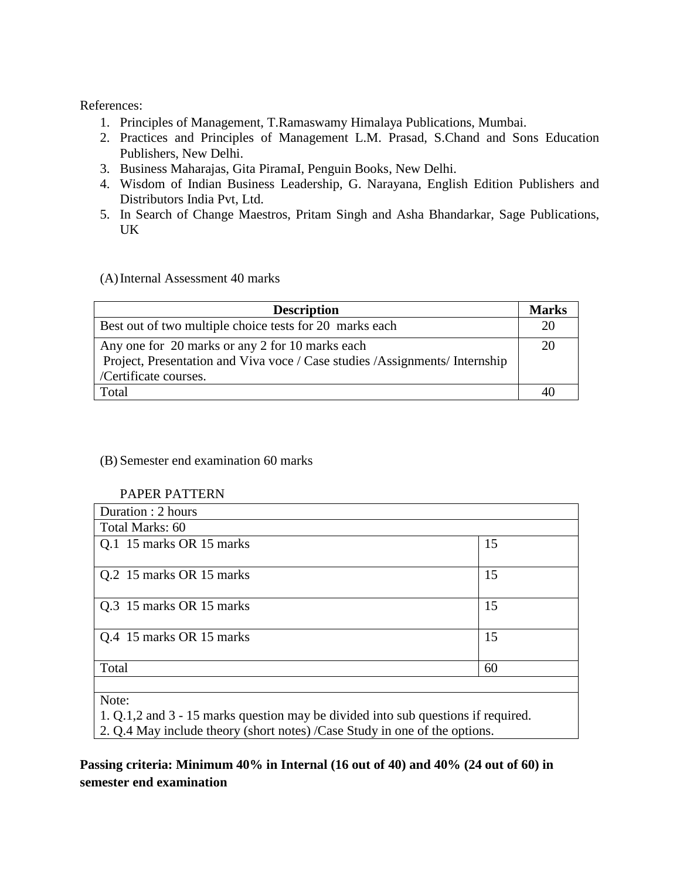- 1. Principles of Management, T.Ramaswamy Himalaya Publications, Mumbai.
- 2. Practices and Principles of Management L.M. Prasad, S.Chand and Sons Education Publishers, New Delhi.
- 3. Business Maharajas, Gita PiramaI, Penguin Books, New Delhi.
- 4. Wisdom of Indian Business Leadership, G. Narayana, English Edition Publishers and Distributors India Pvt, Ltd.
- 5. In Search of Change Maestros, Pritam Singh and Asha Bhandarkar, Sage Publications, UK

(A)Internal Assessment 40 marks

| <b>Description</b>                                                                                                                                       | <b>Marks</b> |
|----------------------------------------------------------------------------------------------------------------------------------------------------------|--------------|
| Best out of two multiple choice tests for 20 marks each                                                                                                  | 20           |
| Any one for 20 marks or any 2 for 10 marks each<br>Project, Presentation and Viva voce / Case studies / Assignments/ Internship<br>/Certificate courses. | 20           |
| Total                                                                                                                                                    | 40           |

(B) Semester end examination 60 marks

#### PAPER PATTERN

| Duration : 2 hours       |    |
|--------------------------|----|
| Total Marks: 60          |    |
| Q.1 15 marks OR 15 marks | 15 |
| Q.2 15 marks OR 15 marks | 15 |
| Q.3 15 marks OR 15 marks | 15 |
| Q.4 15 marks OR 15 marks | 15 |
| Total                    | 60 |
| Note:                    |    |

1. Q.1,2 and 3 - 15 marks question may be divided into sub questions if required.

2. Q.4 May include theory (short notes) /Case Study in one of the options.

**Passing criteria: Minimum 40% in Internal (16 out of 40) and 40% (24 out of 60) in semester end examination**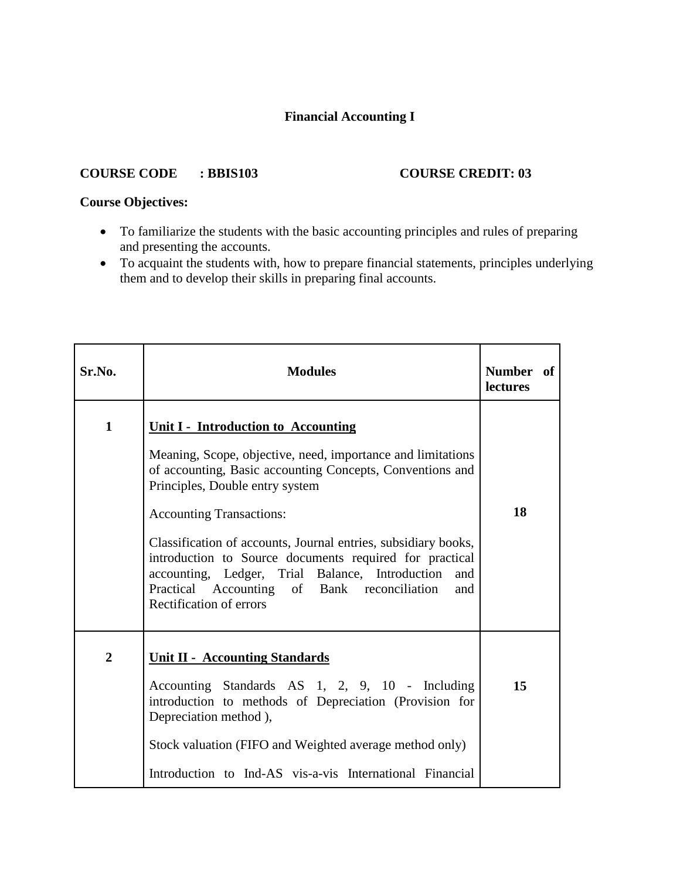# **Financial Accounting I**

#### **COURSE CODE : BBIS103 COURSE CREDIT: 03**

# **Course Objectives:**

- To familiarize the students with the basic accounting principles and rules of preparing and presenting the accounts.
- To acquaint the students with, how to prepare financial statements, principles underlying them and to develop their skills in preparing final accounts.

| Sr.No.         | <b>Modules</b>                                                                                                                                                                                                                                                                                                                                                                                                                                                                                                 | Number of<br>lectures |
|----------------|----------------------------------------------------------------------------------------------------------------------------------------------------------------------------------------------------------------------------------------------------------------------------------------------------------------------------------------------------------------------------------------------------------------------------------------------------------------------------------------------------------------|-----------------------|
| $\mathbf{1}$   | <b>Unit I - Introduction to Accounting</b><br>Meaning, Scope, objective, need, importance and limitations<br>of accounting, Basic accounting Concepts, Conventions and<br>Principles, Double entry system<br><b>Accounting Transactions:</b><br>Classification of accounts, Journal entries, subsidiary books,<br>introduction to Source documents required for practical<br>accounting, Ledger, Trial Balance, Introduction and<br>Practical Accounting of Bank reconciliation and<br>Rectification of errors | 18                    |
| $\overline{2}$ | <b>Unit II - Accounting Standards</b><br>Accounting Standards AS 1, 2, 9, 10 - Including<br>introduction to methods of Depreciation (Provision for<br>Depreciation method),<br>Stock valuation (FIFO and Weighted average method only)<br>Introduction to Ind-AS vis-a-vis International Financial                                                                                                                                                                                                             | 15                    |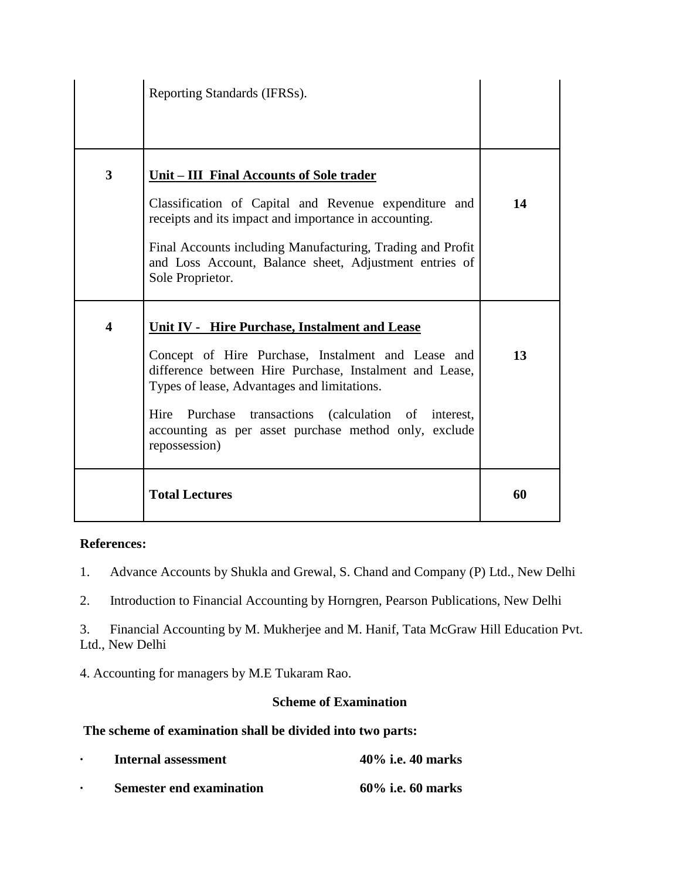|                         | Reporting Standards (IFRSs).                                                                                                                                                                                                                                                                                                                           |    |
|-------------------------|--------------------------------------------------------------------------------------------------------------------------------------------------------------------------------------------------------------------------------------------------------------------------------------------------------------------------------------------------------|----|
| $\overline{\mathbf{3}}$ | <u><b>Unit – III Final Accounts of Sole trader</b></u><br>Classification of Capital and Revenue expenditure and<br>receipts and its impact and importance in accounting.<br>Final Accounts including Manufacturing, Trading and Profit<br>and Loss Account, Balance sheet, Adjustment entries of<br>Sole Proprietor.                                   | 14 |
| $\overline{\mathbf{4}}$ | <b>Unit IV - Hire Purchase, Instalment and Lease</b><br>Concept of Hire Purchase, Instalment and Lease and<br>difference between Hire Purchase, Instalment and Lease,<br>Types of lease, Advantages and limitations.<br>Hire Purchase transactions (calculation of interest,<br>accounting as per asset purchase method only, exclude<br>repossession) | 13 |
|                         | <b>Total Lectures</b>                                                                                                                                                                                                                                                                                                                                  | 60 |

1. Advance Accounts by Shukla and Grewal, S. Chand and Company (P) Ltd., New Delhi

2. Introduction to Financial Accounting by Horngren, Pearson Publications, New Delhi

3. Financial Accounting by M. Mukherjee and M. Hanif, Tata McGraw Hill Education Pvt. Ltd., New Delhi

4. Accounting for managers by M.E Tukaram Rao.

### **Scheme of Examination**

# **The scheme of examination shall be divided into two parts:**

| $\bullet$ | Internal assessment             | $40\%$ i.e. 40 marks |
|-----------|---------------------------------|----------------------|
|           | <b>Semester end examination</b> | $60\%$ i.e. 60 marks |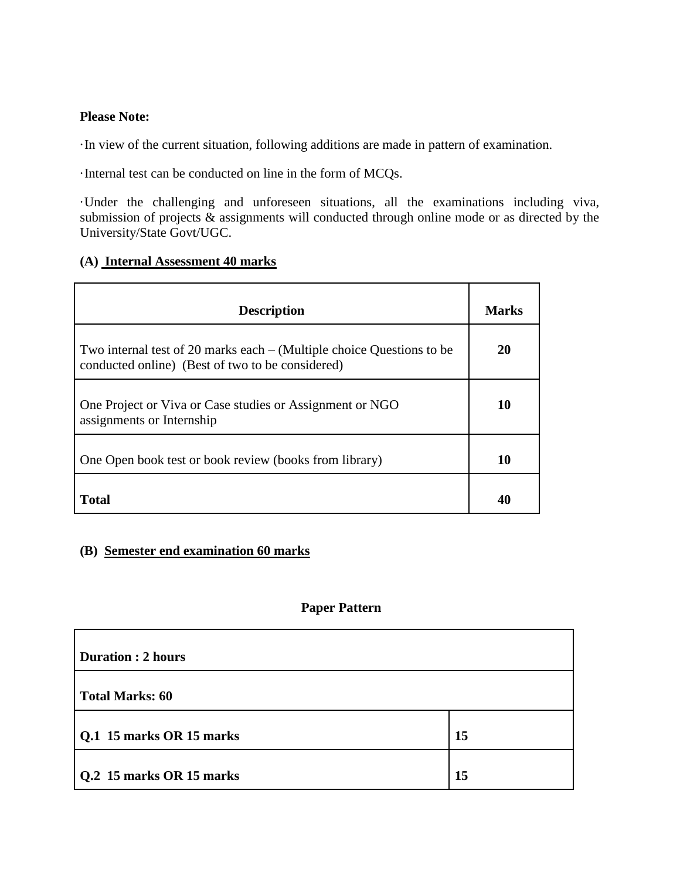# **Please Note:**

·In view of the current situation, following additions are made in pattern of examination.

·Internal test can be conducted on line in the form of MCQs.

·Under the challenging and unforeseen situations, all the examinations including viva, submission of projects & assignments will conducted through online mode or as directed by the University/State Govt/UGC.

# **(A) Internal Assessment 40 marks**

| <b>Description</b>                                                                                                          | Marks |
|-----------------------------------------------------------------------------------------------------------------------------|-------|
| Two internal test of 20 marks each $-$ (Multiple choice Questions to be<br>conducted online) (Best of two to be considered) | 20    |
| One Project or Viva or Case studies or Assignment or NGO<br>assignments or Internship                                       | 10    |
| One Open book test or book review (books from library)                                                                      | 10    |
| Total                                                                                                                       | 40    |

# **(B) Semester end examination 60 marks**

# **Paper Pattern**

| <b>Duration : 2 hours</b> |    |
|---------------------------|----|
| <b>Total Marks: 60</b>    |    |
| Q.1 15 marks OR 15 marks  | 15 |
| Q.2 15 marks OR 15 marks  | 15 |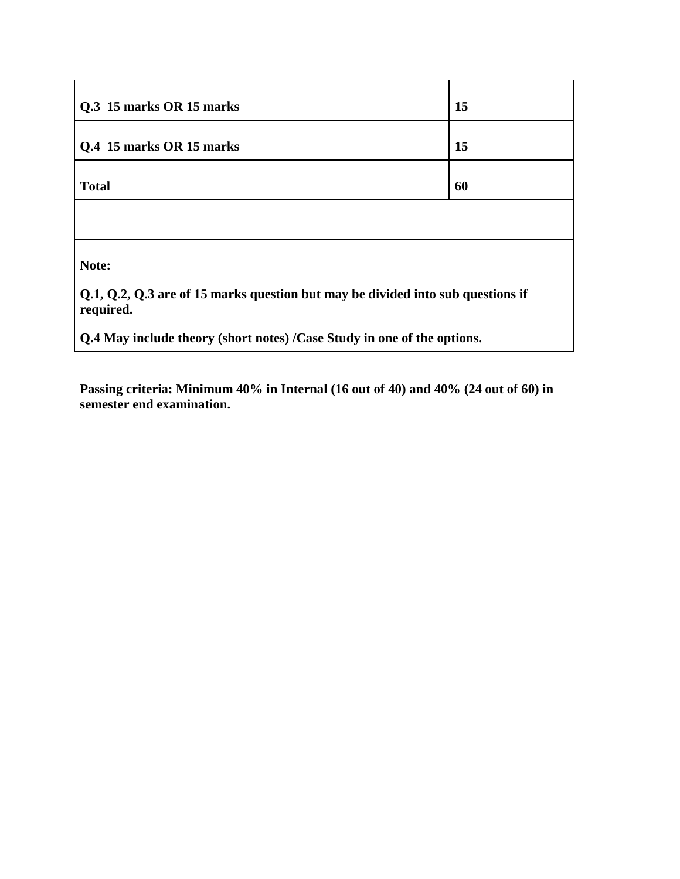| Q.3 15 marks OR 15 marks                                                                     | 15 |  |
|----------------------------------------------------------------------------------------------|----|--|
| Q.4 15 marks OR 15 marks                                                                     | 15 |  |
| <b>Total</b>                                                                                 | 60 |  |
|                                                                                              |    |  |
| Note:                                                                                        |    |  |
| Q.1, Q.2, Q.3 are of 15 marks question but may be divided into sub questions if<br>required. |    |  |
| Q.4 May include theory (short notes) /Case Study in one of the options.                      |    |  |

**Passing criteria: Minimum 40% in Internal (16 out of 40) and 40% (24 out of 60) in semester end examination.**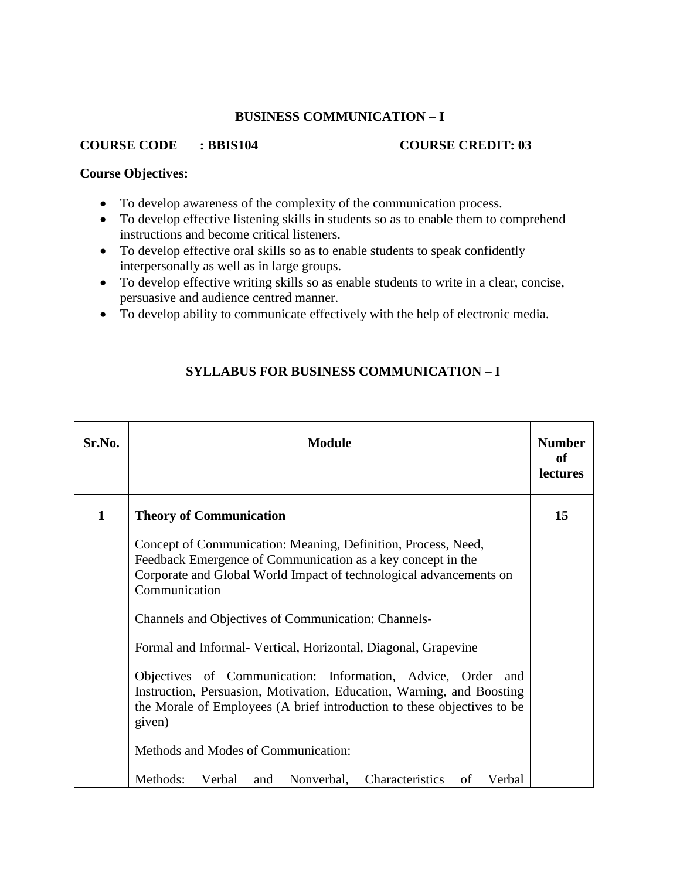# **BUSINESS COMMUNICATION – I**

#### **COURSE CODE : BBIS104 COURSE CREDIT: 03**

#### **Course Objectives:**

- To develop awareness of the complexity of the communication process.
- To develop effective listening skills in students so as to enable them to comprehend instructions and become critical listeners.
- To develop effective oral skills so as to enable students to speak confidently interpersonally as well as in large groups.
- To develop effective writing skills so as enable students to write in a clear, concise, persuasive and audience centred manner.
- To develop ability to communicate effectively with the help of electronic media.

# Sr.No. Module Module **Number Number of lectures 1 Theory of Communication** Concept of Communication: Meaning, Definition, Process, Need, Feedback Emergence of Communication as a key concept in the Corporate and Global World Impact of technological advancements on Communication Channels and Objectives of Communication: Channels-Formal and Informal- Vertical, Horizontal, Diagonal, Grapevine Objectives of Communication: Information, Advice, Order and Instruction, Persuasion, Motivation, Education, Warning, and Boosting the Morale of Employees (A brief introduction to these objectives to be given) Methods and Modes of Communication: Methods: Verbal and Nonverbal, Characteristics of Verbal **15**

# **SYLLABUS FOR BUSINESS COMMUNICATION – I**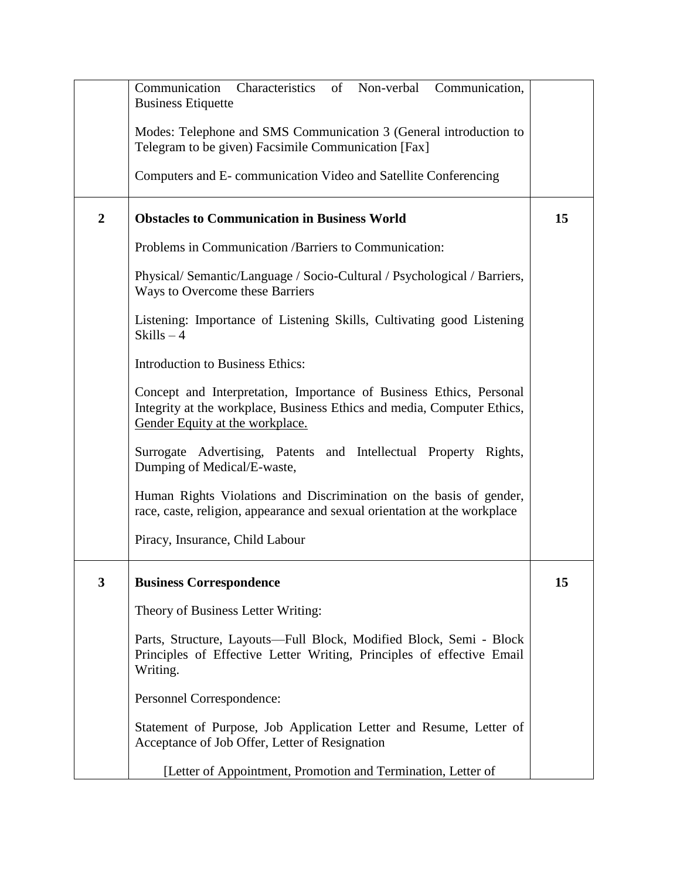|                  | Communication Characteristics of Non-verbal Communication,<br><b>Business Etiquette</b>                                                                                           |    |
|------------------|-----------------------------------------------------------------------------------------------------------------------------------------------------------------------------------|----|
|                  | Modes: Telephone and SMS Communication 3 (General introduction to<br>Telegram to be given) Facsimile Communication [Fax]                                                          |    |
|                  | Computers and E-communication Video and Satellite Conferencing                                                                                                                    |    |
| $\boldsymbol{2}$ | <b>Obstacles to Communication in Business World</b>                                                                                                                               | 15 |
|                  | Problems in Communication / Barriers to Communication:                                                                                                                            |    |
|                  | Physical/Semantic/Language / Socio-Cultural / Psychological / Barriers,<br>Ways to Overcome these Barriers                                                                        |    |
|                  | Listening: Importance of Listening Skills, Cultivating good Listening<br>$Skills - 4$                                                                                             |    |
|                  | Introduction to Business Ethics:                                                                                                                                                  |    |
|                  | Concept and Interpretation, Importance of Business Ethics, Personal<br>Integrity at the workplace, Business Ethics and media, Computer Ethics,<br>Gender Equity at the workplace. |    |
|                  | Surrogate Advertising, Patents and Intellectual Property Rights,<br>Dumping of Medical/E-waste,                                                                                   |    |
|                  | Human Rights Violations and Discrimination on the basis of gender,<br>race, caste, religion, appearance and sexual orientation at the workplace                                   |    |
|                  | Piracy, Insurance, Child Labour                                                                                                                                                   |    |
| 3                | <b>Business Correspondence</b>                                                                                                                                                    | 15 |
|                  | Theory of Business Letter Writing:                                                                                                                                                |    |
|                  | Parts, Structure, Layouts—Full Block, Modified Block, Semi - Block<br>Principles of Effective Letter Writing, Principles of effective Email<br>Writing.                           |    |
|                  | Personnel Correspondence:                                                                                                                                                         |    |
|                  | Statement of Purpose, Job Application Letter and Resume, Letter of<br>Acceptance of Job Offer, Letter of Resignation                                                              |    |
|                  | [Letter of Appointment, Promotion and Termination, Letter of                                                                                                                      |    |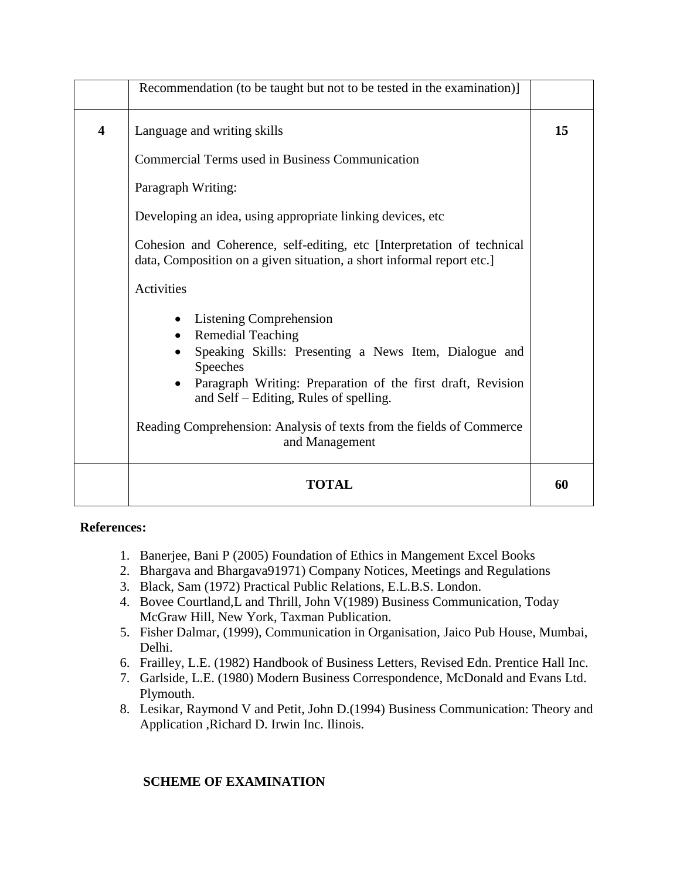|                         | Recommendation (to be taught but not to be tested in the examination)]                                                                                                                                                            |    |
|-------------------------|-----------------------------------------------------------------------------------------------------------------------------------------------------------------------------------------------------------------------------------|----|
| $\overline{\mathbf{4}}$ | Language and writing skills                                                                                                                                                                                                       | 15 |
|                         | <b>Commercial Terms used in Business Communication</b>                                                                                                                                                                            |    |
|                         | Paragraph Writing:                                                                                                                                                                                                                |    |
|                         | Developing an idea, using appropriate linking devices, etc.                                                                                                                                                                       |    |
|                         | Cohesion and Coherence, self-editing, etc [Interpretation of technical<br>data, Composition on a given situation, a short informal report etc.                                                                                    |    |
|                         | Activities                                                                                                                                                                                                                        |    |
|                         | Listening Comprehension<br><b>Remedial Teaching</b><br>Speaking Skills: Presenting a News Item, Dialogue and<br>Speeches<br>Paragraph Writing: Preparation of the first draft, Revision<br>and Self – Editing, Rules of spelling. |    |
|                         | Reading Comprehension: Analysis of texts from the fields of Commerce<br>and Management                                                                                                                                            |    |
|                         | <b>TOTAL</b>                                                                                                                                                                                                                      | 60 |

- 1. Banerjee, Bani P (2005) Foundation of Ethics in Mangement Excel Books
- 2. Bhargava and Bhargava91971) Company Notices, Meetings and Regulations
- 3. Black, Sam (1972) Practical Public Relations, E.L.B.S. London.
- 4. Bovee Courtland,L and Thrill, John V(1989) Business Communication, Today McGraw Hill, New York, Taxman Publication.
- 5. Fisher Dalmar, (1999), Communication in Organisation, Jaico Pub House, Mumbai, Delhi.
- 6. Frailley, L.E. (1982) Handbook of Business Letters, Revised Edn. Prentice Hall Inc.
- 7. Garlside, L.E. (1980) Modern Business Correspondence, McDonald and Evans Ltd. Plymouth.
- 8. Lesikar, Raymond V and Petit, John D.(1994) Business Communication: Theory and Application ,Richard D. Irwin Inc. Ilinois.

# **SCHEME OF EXAMINATION**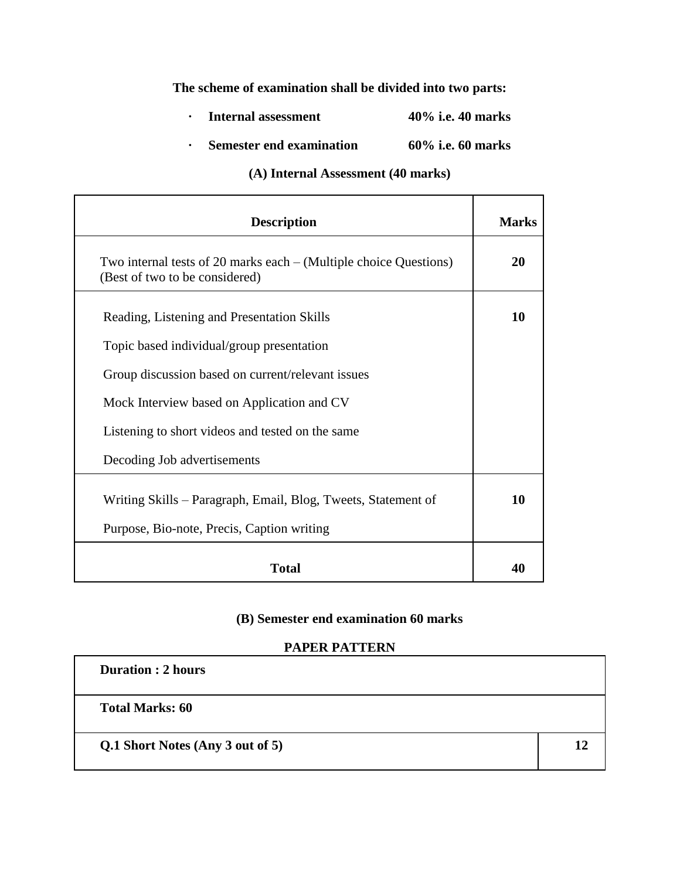# **The scheme of examination shall be divided into two parts:**

- **· Internal assessment 40% i.e. 40 marks**
- **· Semester end examination 60% i.e. 60 marks**

# **(A) Internal Assessment (40 marks)**

| <b>Description</b>                                                                                    | <b>Marks</b> |
|-------------------------------------------------------------------------------------------------------|--------------|
| Two internal tests of 20 marks each $-$ (Multiple choice Questions)<br>(Best of two to be considered) | 20           |
| Reading, Listening and Presentation Skills<br>Topic based individual/group presentation               | 10           |
| Group discussion based on current/relevant issues                                                     |              |
| Mock Interview based on Application and CV                                                            |              |
| Listening to short videos and tested on the same<br>Decoding Job advertisements                       |              |
| Writing Skills – Paragraph, Email, Blog, Tweets, Statement of                                         | 10           |
| Purpose, Bio-note, Precis, Caption writing                                                            |              |
| <b>Total</b>                                                                                          | 40           |

# **(B) Semester end examination 60 marks**

### **PAPER PATTERN**

| <b>Duration : 2 hours</b>        |    |
|----------------------------------|----|
| <b>Total Marks: 60</b>           |    |
| Q.1 Short Notes (Any 3 out of 5) | 17 |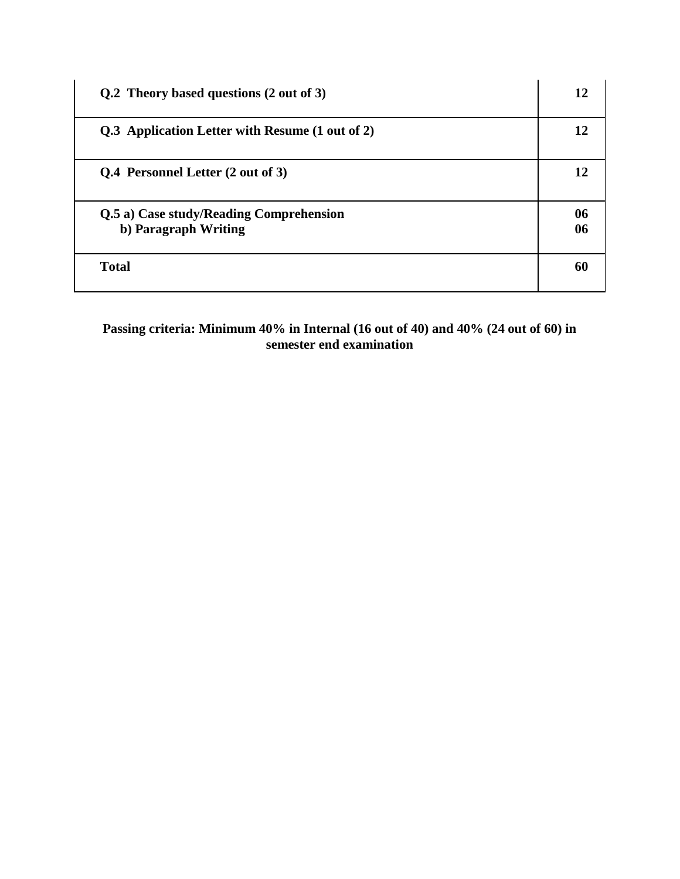| Q.2 Theory based questions (2 out of 3)                         | 12       |
|-----------------------------------------------------------------|----------|
| Q.3 Application Letter with Resume (1 out of 2)                 | 12       |
| Q.4 Personnel Letter (2 out of 3)                               | 12       |
| Q.5 a) Case study/Reading Comprehension<br>b) Paragraph Writing | 06<br>06 |
| <b>Total</b>                                                    | 60       |

**Passing criteria: Minimum 40% in Internal (16 out of 40) and 40% (24 out of 60) in semester end examination**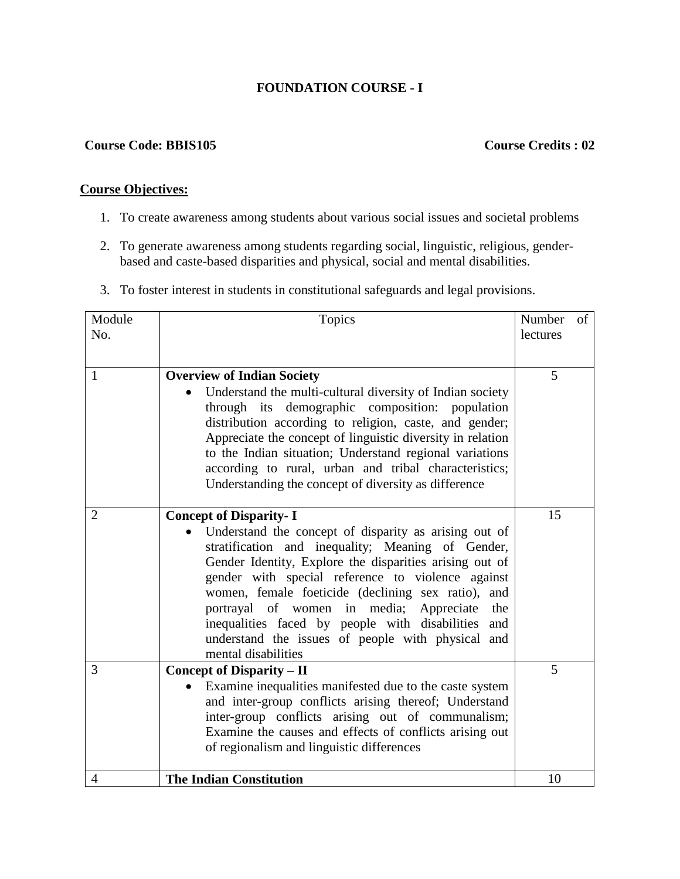# **FOUNDATION COURSE - I**

#### **Course Code: BBIS105 Course Credits : 02**

# **Course Objectives:**

- 1. To create awareness among students about various social issues and societal problems
- 2. To generate awareness among students regarding social, linguistic, religious, genderbased and caste-based disparities and physical, social and mental disabilities.
- 3. To foster interest in students in constitutional safeguards and legal provisions.

| Module<br>No.  | Topics                                                                                                                                                                                                                                                                                                                                                                                                                                                                                                   | Number<br>lectures | of |
|----------------|----------------------------------------------------------------------------------------------------------------------------------------------------------------------------------------------------------------------------------------------------------------------------------------------------------------------------------------------------------------------------------------------------------------------------------------------------------------------------------------------------------|--------------------|----|
| 1              | <b>Overview of Indian Society</b><br>Understand the multi-cultural diversity of Indian society<br>through its demographic composition: population<br>distribution according to religion, caste, and gender;<br>Appreciate the concept of linguistic diversity in relation<br>to the Indian situation; Understand regional variations<br>according to rural, urban and tribal characteristics;<br>Understanding the concept of diversity as difference                                                    | 5                  |    |
| $\overline{2}$ | <b>Concept of Disparity-I</b><br>Understand the concept of disparity as arising out of<br>stratification and inequality; Meaning of Gender,<br>Gender Identity, Explore the disparities arising out of<br>gender with special reference to violence against<br>women, female foeticide (declining sex ratio), and<br>portrayal of women in media; Appreciate<br>the<br>inequalities faced by people with disabilities<br>and<br>understand the issues of people with physical and<br>mental disabilities | 15                 |    |
| 3              | <b>Concept of Disparity – II</b><br>Examine inequalities manifested due to the caste system<br>and inter-group conflicts arising thereof; Understand<br>inter-group conflicts arising out of communalism;<br>Examine the causes and effects of conflicts arising out<br>of regionalism and linguistic differences                                                                                                                                                                                        | 5                  |    |
| $\overline{4}$ | <b>The Indian Constitution</b>                                                                                                                                                                                                                                                                                                                                                                                                                                                                           | 10                 |    |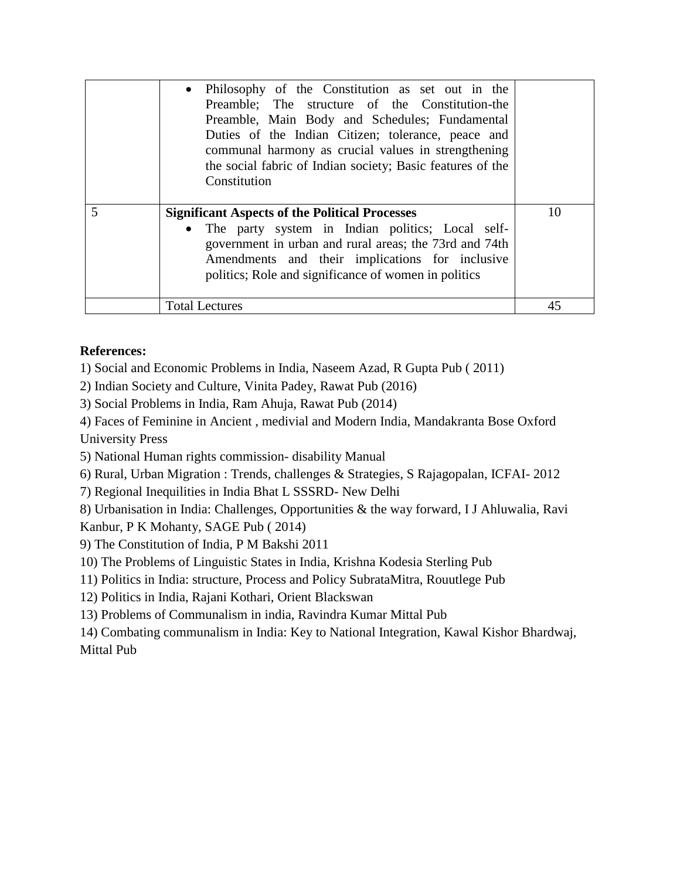|   | • Philosophy of the Constitution as set out in the<br>Preamble; The structure of the Constitution-the<br>Preamble, Main Body and Schedules; Fundamental<br>Duties of the Indian Citizen; tolerance, peace and<br>communal harmony as crucial values in strengthening<br>the social fabric of Indian society; Basic features of the<br>Constitution |    |
|---|----------------------------------------------------------------------------------------------------------------------------------------------------------------------------------------------------------------------------------------------------------------------------------------------------------------------------------------------------|----|
| 5 | <b>Significant Aspects of the Political Processes</b><br>• The party system in Indian politics; Local self-<br>government in urban and rural areas; the 73rd and 74th<br>Amendments and their implications for inclusive<br>politics; Role and significance of women in politics                                                                   | 10 |
|   | Total Lectures                                                                                                                                                                                                                                                                                                                                     | 45 |

1) Social and Economic Problems in India, Naseem Azad, R Gupta Pub ( 2011)

2) Indian Society and Culture, Vinita Padey, Rawat Pub (2016)

3) Social Problems in India, Ram Ahuja, Rawat Pub (2014)

4) Faces of Feminine in Ancient , medivial and Modern India, Mandakranta Bose Oxford University Press

5) National Human rights commission- disability Manual

6) Rural, Urban Migration : Trends, challenges & Strategies, S Rajagopalan, ICFAI- 2012

7) Regional Inequilities in India Bhat L SSSRD- New Delhi

8) Urbanisation in India: Challenges, Opportunities & the way forward, I J Ahluwalia, Ravi Kanbur, P K Mohanty, SAGE Pub ( 2014)

9) The Constitution of India, P M Bakshi 2011

10) The Problems of Linguistic States in India, Krishna Kodesia Sterling Pub

11) Politics in India: structure, Process and Policy SubrataMitra, Rouutlege Pub

12) Politics in India, Rajani Kothari, Orient Blackswan

13) Problems of Communalism in india, Ravindra Kumar Mittal Pub

14) Combating communalism in India: Key to National Integration, Kawal Kishor Bhardwaj, Mittal Pub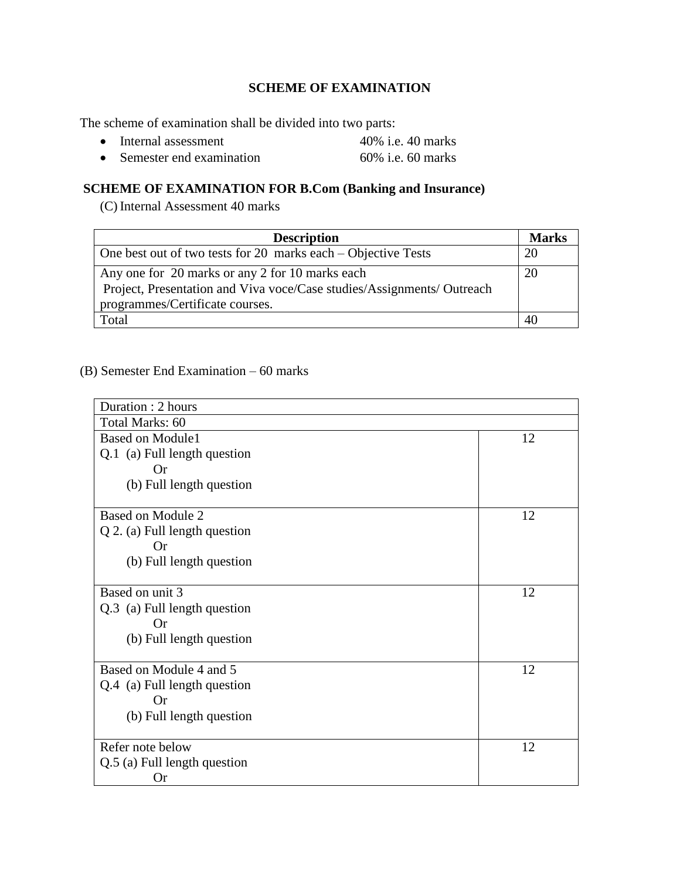# **SCHEME OF EXAMINATION**

The scheme of examination shall be divided into two parts:

- Internal assessment 40% i.e. 40 marks
- Semester end examination 60% i.e. 60 marks

# **SCHEME OF EXAMINATION FOR B.Com (Banking and Insurance)**

(C) Internal Assessment 40 marks

| <b>Description</b>                                                                                                                                           | <b>Marks</b> |
|--------------------------------------------------------------------------------------------------------------------------------------------------------------|--------------|
| One best out of two tests for 20 marks each $-$ Objective Tests                                                                                              | 20           |
| Any one for 20 marks or any 2 for 10 marks each<br>Project, Presentation and Viva voce/Case studies/Assignments/ Outreach<br>programmes/Certificate courses. | 20           |
| Total                                                                                                                                                        | 40           |

(B) Semester End Examination – 60 marks

| Duration: 2 hours               |    |
|---------------------------------|----|
| Total Marks: 60                 |    |
| <b>Based on Module1</b>         | 12 |
| Q.1 (a) Full length question    |    |
| <b>Or</b>                       |    |
| (b) Full length question        |    |
| Based on Module 2               | 12 |
| $Q$ 2. (a) Full length question |    |
| <b>Or</b>                       |    |
| (b) Full length question        |    |
|                                 |    |
| Based on unit 3                 | 12 |
| Q.3 (a) Full length question    |    |
| <b>Or</b>                       |    |
| (b) Full length question        |    |
|                                 |    |
| Based on Module 4 and 5         | 12 |
| Q.4 (a) Full length question    |    |
| <b>Or</b>                       |    |
| (b) Full length question        |    |
|                                 |    |
| Refer note below                | 12 |
| Q.5 (a) Full length question    |    |
| <b>Or</b>                       |    |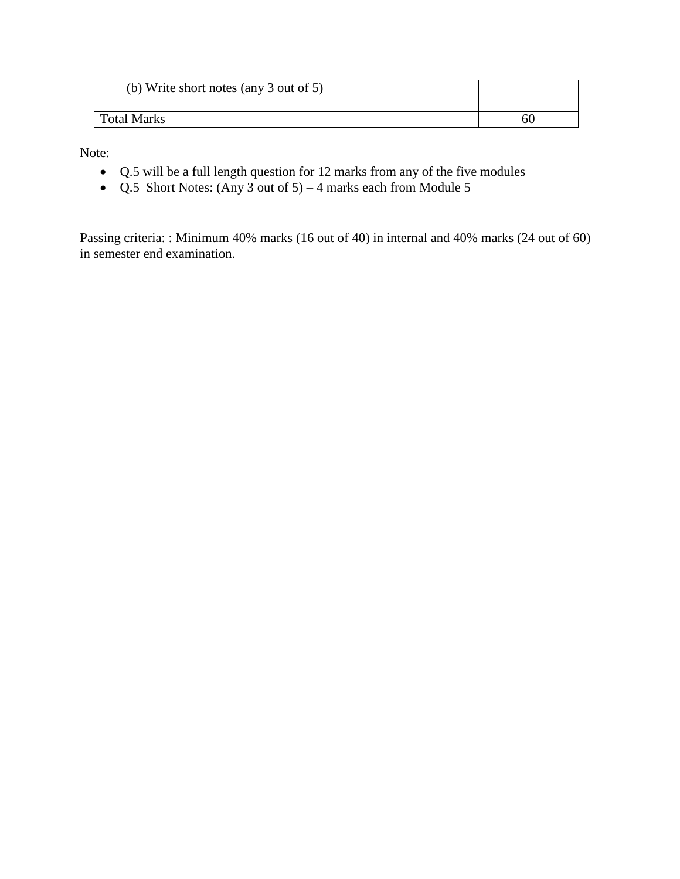| (b) Write short notes (any 3 out of 5) |  |
|----------------------------------------|--|
| Total Marks                            |  |

Note:

- Q.5 will be a full length question for 12 marks from any of the five modules
- Q.5 Short Notes: (Any 3 out of  $5$ ) 4 marks each from Module 5

Passing criteria: : Minimum 40% marks (16 out of 40) in internal and 40% marks (24 out of 60) in semester end examination.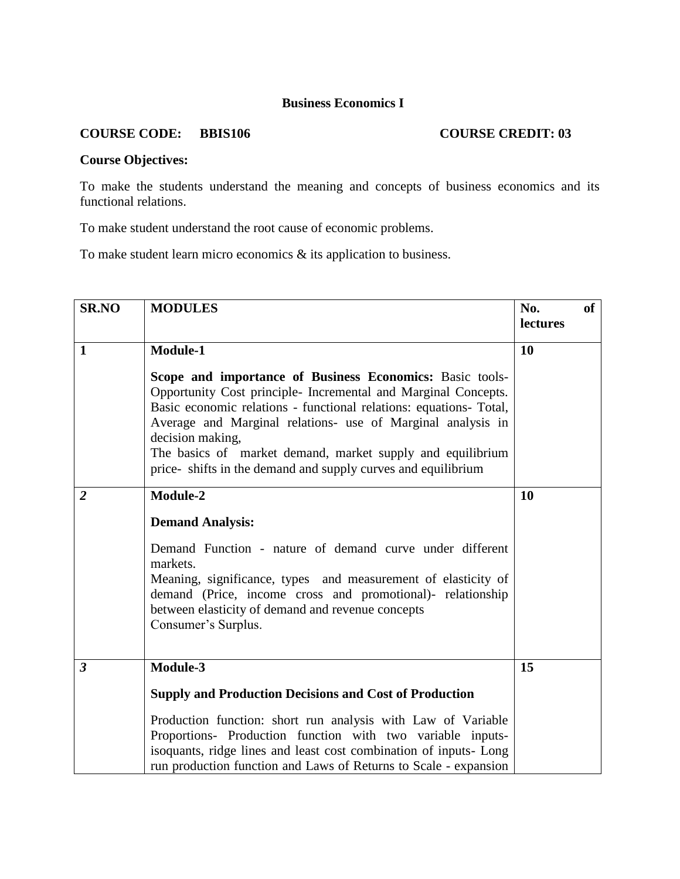# **Business Economics I**

# **COURSE CODE:** BBIS106 **COURSE CREDIT: 03**

# **Course Objectives:**

To make the students understand the meaning and concepts of business economics and its functional relations.

To make student understand the root cause of economic problems.

To make student learn micro economics & its application to business.

| <b>SR.NO</b>            | <b>MODULES</b>                                                                                                                                                                                                                                                                                                                                                                                                    | No.<br>lectures | of |
|-------------------------|-------------------------------------------------------------------------------------------------------------------------------------------------------------------------------------------------------------------------------------------------------------------------------------------------------------------------------------------------------------------------------------------------------------------|-----------------|----|
| $\mathbf{1}$            | Module-1                                                                                                                                                                                                                                                                                                                                                                                                          | 10              |    |
|                         | Scope and importance of Business Economics: Basic tools-<br>Opportunity Cost principle- Incremental and Marginal Concepts.<br>Basic economic relations - functional relations: equations- Total,<br>Average and Marginal relations- use of Marginal analysis in<br>decision making,<br>The basics of market demand, market supply and equilibrium<br>price-shifts in the demand and supply curves and equilibrium |                 |    |
| $\overline{2}$          | Module-2                                                                                                                                                                                                                                                                                                                                                                                                          | <b>10</b>       |    |
|                         | <b>Demand Analysis:</b><br>Demand Function - nature of demand curve under different<br>markets.<br>Meaning, significance, types and measurement of elasticity of<br>demand (Price, income cross and promotional)- relationship<br>between elasticity of demand and revenue concepts<br>Consumer's Surplus.                                                                                                        |                 |    |
| $\overline{\mathbf{3}}$ | Module-3                                                                                                                                                                                                                                                                                                                                                                                                          | 15              |    |
|                         | <b>Supply and Production Decisions and Cost of Production</b>                                                                                                                                                                                                                                                                                                                                                     |                 |    |
|                         | Production function: short run analysis with Law of Variable<br>Proportions- Production function with two variable inputs-<br>isoquants, ridge lines and least cost combination of inputs- Long<br>run production function and Laws of Returns to Scale - expansion                                                                                                                                               |                 |    |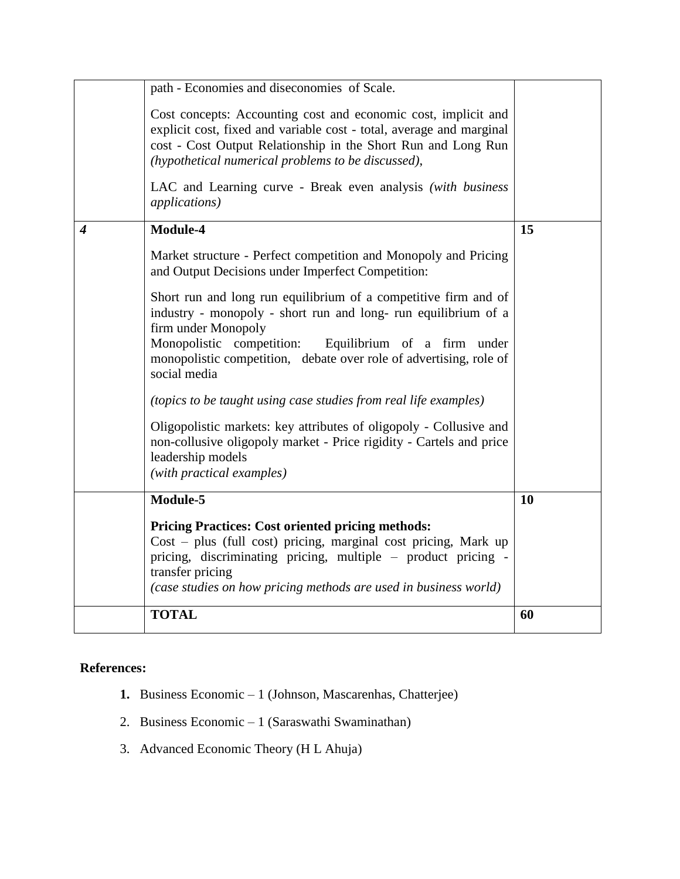|   | path - Economies and diseconomies of Scale.<br>Cost concepts: Accounting cost and economic cost, implicit and<br>explicit cost, fixed and variable cost - total, average and marginal<br>cost - Cost Output Relationship in the Short Run and Long Run<br>(hypothetical numerical problems to be discussed),<br>LAC and Learning curve - Break even analysis (with business<br><i>applications</i> )                                                                                                                                                                                                                                                                                                                 |    |
|---|----------------------------------------------------------------------------------------------------------------------------------------------------------------------------------------------------------------------------------------------------------------------------------------------------------------------------------------------------------------------------------------------------------------------------------------------------------------------------------------------------------------------------------------------------------------------------------------------------------------------------------------------------------------------------------------------------------------------|----|
| 4 | Module-4<br>Market structure - Perfect competition and Monopoly and Pricing<br>and Output Decisions under Imperfect Competition:<br>Short run and long run equilibrium of a competitive firm and of<br>industry - monopoly - short run and long- run equilibrium of a<br>firm under Monopoly<br>Monopolistic competition:<br>Equilibrium of a firm<br>under<br>monopolistic competition, debate over role of advertising, role of<br>social media<br>(topics to be taught using case studies from real life examples)<br>Oligopolistic markets: key attributes of oligopoly - Collusive and<br>non-collusive oligopoly market - Price rigidity - Cartels and price<br>leadership models<br>(with practical examples) | 15 |
|   | Module-5<br><b>Pricing Practices: Cost oriented pricing methods:</b><br>$Cost - plus$ (full cost) pricing, marginal cost pricing, Mark up<br>pricing, discriminating pricing, multiple – product pricing -<br>transfer pricing<br>(case studies on how pricing methods are used in business world)                                                                                                                                                                                                                                                                                                                                                                                                                   | 10 |
|   | <b>TOTAL</b>                                                                                                                                                                                                                                                                                                                                                                                                                                                                                                                                                                                                                                                                                                         | 60 |

- **1.** Business Economic 1 (Johnson, Mascarenhas, Chatterjee)
- 2. Business Economic 1 (Saraswathi Swaminathan)
- 3. Advanced Economic Theory (H L Ahuja)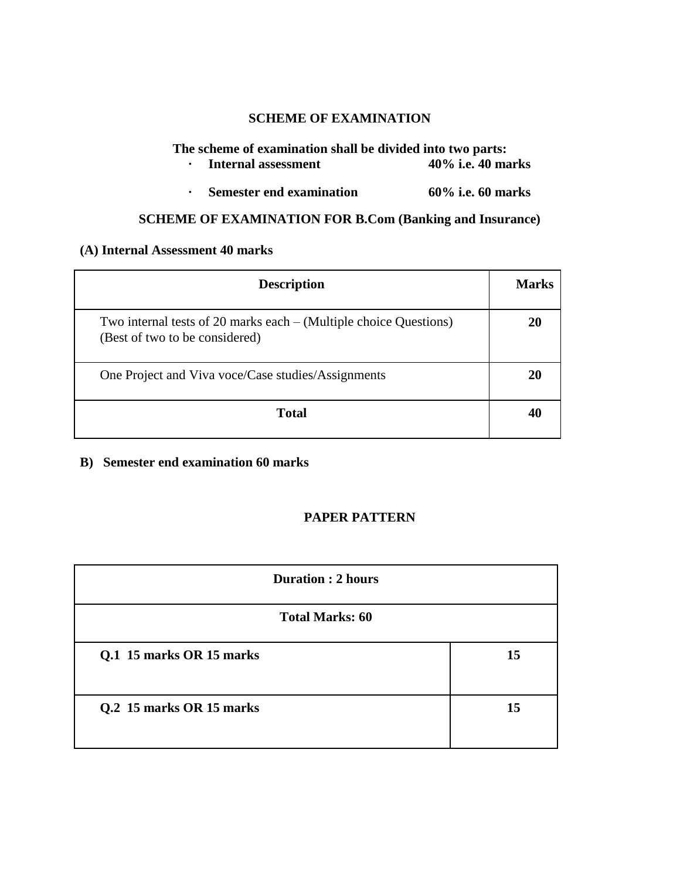# **SCHEME OF EXAMINATION**

# **The scheme of examination shall be divided into two parts:**<br> **The scheme internal assessment** 40% i.e. 40 marks

- **• Internal assessment**
- **· Semester end examination 60% i.e. 60 marks**

# **SCHEME OF EXAMINATION FOR B.Com (Banking and Insurance)**

### **(A) Internal Assessment 40 marks**

| <b>Description</b>                                                                                    | Marks |
|-------------------------------------------------------------------------------------------------------|-------|
| Two internal tests of 20 marks each $-$ (Multiple choice Questions)<br>(Best of two to be considered) | 20    |
| One Project and Viva voce/Case studies/Assignments                                                    | 20    |
| <b>Total</b>                                                                                          |       |

**B) Semester end examination 60 marks**

# **PAPER PATTERN**

| <b>Duration : 2 hours</b> |    |  |
|---------------------------|----|--|
| <b>Total Marks: 60</b>    |    |  |
| Q.1 15 marks OR 15 marks  | 15 |  |
| Q.2 15 marks OR 15 marks  | 15 |  |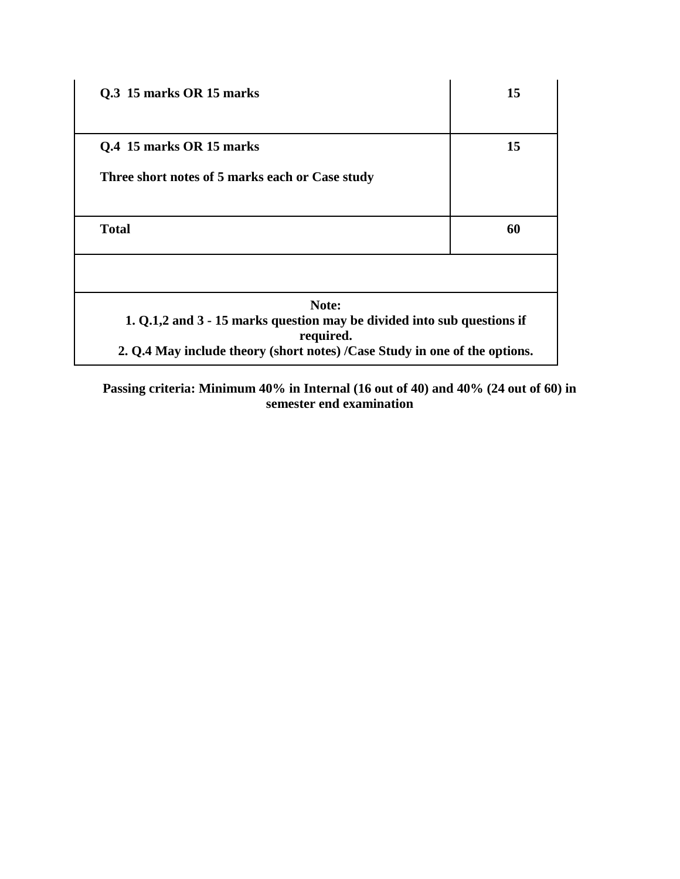| Q.3 15 marks OR 15 marks                                                             | 15 |
|--------------------------------------------------------------------------------------|----|
|                                                                                      |    |
| Q.4 15 marks OR 15 marks                                                             | 15 |
| Three short notes of 5 marks each or Case study                                      |    |
| <b>Total</b>                                                                         | 60 |
| Note:                                                                                |    |
| 1. Q.1,2 and 3 - 15 marks question may be divided into sub questions if<br>required. |    |
| 2. Q.4 May include theory (short notes) /Case Study in one of the options.           |    |

**Passing criteria: Minimum 40% in Internal (16 out of 40) and 40% (24 out of 60) in semester end examination**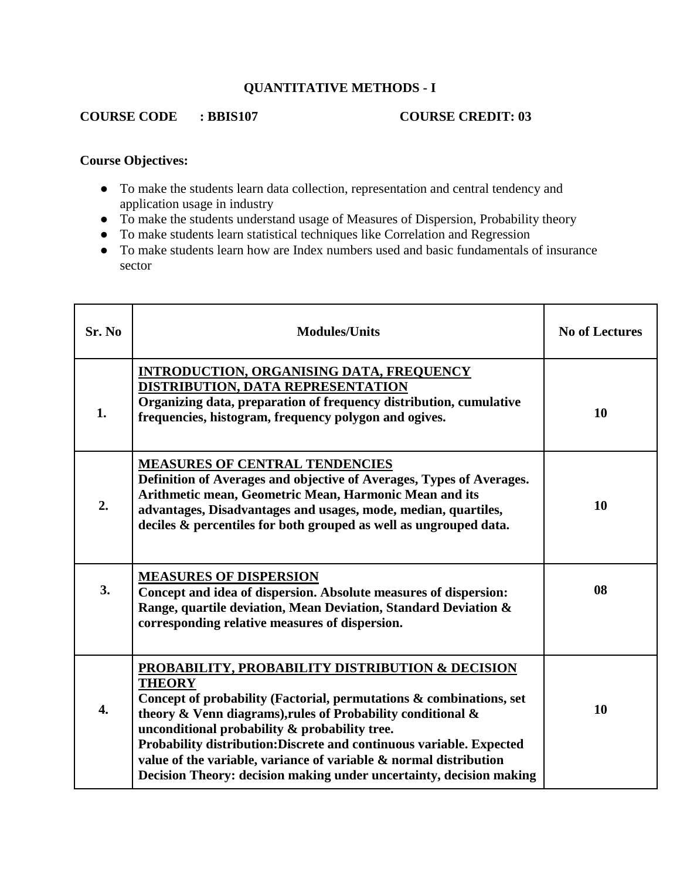# **QUANTITATIVE METHODS - I**

# **COURSE CODE : BBIS107 COURSE CREDIT: 03**

# **Course Objectives:**

- To make the students learn data collection, representation and central tendency and application usage in industry
- To make the students understand usage of Measures of Dispersion, Probability theory
- To make students learn statistical techniques like Correlation and Regression
- To make students learn how are Index numbers used and basic fundamentals of insurance sector

| Sr. No           | <b>Modules/Units</b>                                                                                                                                                                                                                                                                                                                                                                                                                                                         | <b>No of Lectures</b> |
|------------------|------------------------------------------------------------------------------------------------------------------------------------------------------------------------------------------------------------------------------------------------------------------------------------------------------------------------------------------------------------------------------------------------------------------------------------------------------------------------------|-----------------------|
| 1.               | <b>INTRODUCTION, ORGANISING DATA, FREQUENCY</b><br>DISTRIBUTION, DATA REPRESENTATION<br>Organizing data, preparation of frequency distribution, cumulative<br>frequencies, histogram, frequency polygon and ogives.                                                                                                                                                                                                                                                          | 10                    |
| 2.               | <b>MEASURES OF CENTRAL TENDENCIES</b><br>Definition of Averages and objective of Averages, Types of Averages.<br>Arithmetic mean, Geometric Mean, Harmonic Mean and its<br>advantages, Disadvantages and usages, mode, median, quartiles,<br>deciles & percentiles for both grouped as well as ungrouped data.                                                                                                                                                               | 10                    |
| 3.               | <b>MEASURES OF DISPERSION</b><br>Concept and idea of dispersion. Absolute measures of dispersion:<br>Range, quartile deviation, Mean Deviation, Standard Deviation &<br>corresponding relative measures of dispersion.                                                                                                                                                                                                                                                       | 08                    |
| $\overline{4}$ . | PROBABILITY, PROBABILITY DISTRIBUTION & DECISION<br><b>THEORY</b><br>Concept of probability (Factorial, permutations & combinations, set<br>theory & Venn diagrams), rules of Probability conditional &<br>unconditional probability & probability tree.<br>Probability distribution: Discrete and continuous variable. Expected<br>value of the variable, variance of variable & normal distribution<br>Decision Theory: decision making under uncertainty, decision making | 10                    |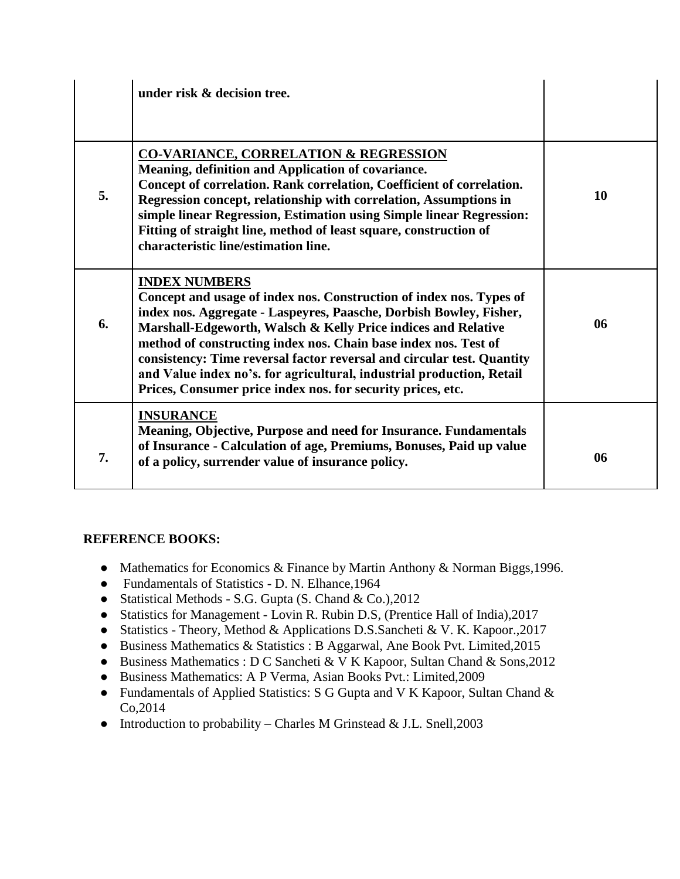|    | under risk & decision tree.                                                                                                                                                                                                                                                                                                                                                                                                                                                                                             |    |
|----|-------------------------------------------------------------------------------------------------------------------------------------------------------------------------------------------------------------------------------------------------------------------------------------------------------------------------------------------------------------------------------------------------------------------------------------------------------------------------------------------------------------------------|----|
| 5. | <b>CO-VARIANCE, CORRELATION &amp; REGRESSION</b><br>Meaning, definition and Application of covariance.<br>Concept of correlation. Rank correlation, Coefficient of correlation.<br>Regression concept, relationship with correlation, Assumptions in<br>simple linear Regression, Estimation using Simple linear Regression:<br>Fitting of straight line, method of least square, construction of<br>characteristic line/estimation line.                                                                               | 10 |
| 6. | <b>INDEX NUMBERS</b><br>Concept and usage of index nos. Construction of index nos. Types of<br>index nos. Aggregate - Laspeyres, Paasche, Dorbish Bowley, Fisher,<br>Marshall-Edgeworth, Walsch & Kelly Price indices and Relative<br>method of constructing index nos. Chain base index nos. Test of<br>consistency: Time reversal factor reversal and circular test. Quantity<br>and Value index no's. for agricultural, industrial production, Retail<br>Prices, Consumer price index nos. for security prices, etc. | 06 |
| 7. | <b>INSURANCE</b><br>Meaning, Objective, Purpose and need for Insurance. Fundamentals<br>of Insurance - Calculation of age, Premiums, Bonuses, Paid up value<br>of a policy, surrender value of insurance policy.                                                                                                                                                                                                                                                                                                        | 06 |

# **REFERENCE BOOKS:**

- Mathematics for Economics & Finance by Martin Anthony & Norman Biggs, 1996.
- Fundamentals of Statistics D. N. Elhance,1964
- Statistical Methods S.G. Gupta (S. Chand & Co.), 2012
- Statistics for Management Lovin R. Rubin D.S, (Prentice Hall of India),2017
- Statistics Theory, Method & Applications D.S.Sancheti & V. K. Kapoor.,2017
- Business Mathematics & Statistics : B Aggarwal, Ane Book Pvt. Limited, 2015
- Business Mathematics : D C Sancheti & V K Kapoor, Sultan Chand & Sons, 2012
- Business Mathematics: A P Verma, Asian Books Pvt.: Limited,2009
- Fundamentals of Applied Statistics: S G Gupta and V K Kapoor, Sultan Chand & Co,2014
- Introduction to probability Charles M Grinstead & J.L. Snell,  $2003$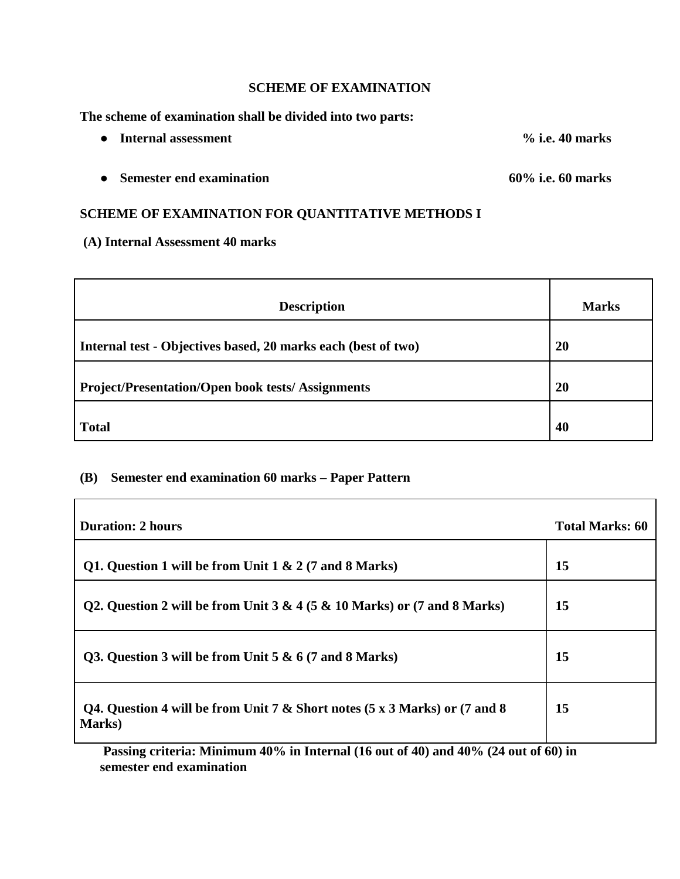#### **SCHEME OF EXAMINATION**

**The scheme of examination shall be divided into two parts:**

- **Internal assessment % i.e. 40 marks**
- **Semester end examination 60% i.e. 60 marks**

# **SCHEME OF EXAMINATION FOR QUANTITATIVE METHODS I**

**(A) Internal Assessment 40 marks**

 $\overline{\phantom{0}}$ 

| <b>Description</b>                                            | <b>Marks</b> |
|---------------------------------------------------------------|--------------|
| Internal test - Objectives based, 20 marks each (best of two) | 20           |
| <b>Project/Presentation/Open book tests/Assignments</b>       | 20           |
| <b>Total</b>                                                  | 40           |

#### **(B) Semester end examination 60 marks – Paper Pattern**

| <b>Duration: 2 hours</b>                                                                                                        | <b>Total Marks: 60</b> |
|---------------------------------------------------------------------------------------------------------------------------------|------------------------|
| Q1. Question 1 will be from Unit $1 \& 2 (7 \text{ and } 8 \text{ Marks})$                                                      | 15                     |
| Q2. Question 2 will be from Unit 3 & 4 (5 & 10 Marks) or (7 and 8 Marks)                                                        | 15                     |
| Q3. Question 3 will be from Unit $5 & 6 (7)$ and 8 Marks)                                                                       | 15                     |
| Q4. Question 4 will be from Unit 7 & Short notes $(5 \times 3 \text{ Marks})$ or $(7 \text{ and } 8 \text{)}$<br><b>Marks</b> ) | 15                     |

**Passing criteria: Minimum 40% in Internal (16 out of 40) and 40% (24 out of 60) in semester end examination**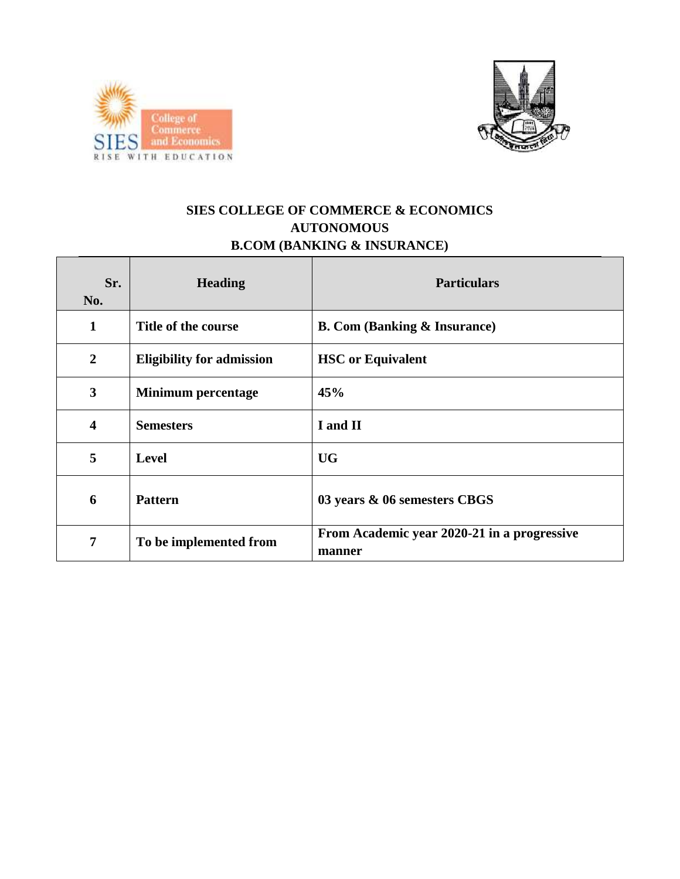



# **SIES COLLEGE OF COMMERCE & ECONOMICS AUTONOMOUS B.COM (BANKING & INSURANCE)**

| Sr.<br>No.              | <b>Heading</b>                   | <b>Particulars</b>                                    |
|-------------------------|----------------------------------|-------------------------------------------------------|
| 1                       | Title of the course              | <b>B. Com (Banking &amp; Insurance)</b>               |
| $\overline{2}$          | <b>Eligibility for admission</b> | <b>HSC</b> or Equivalent                              |
| $\overline{\mathbf{3}}$ | <b>Minimum percentage</b>        | 45%                                                   |
| $\overline{\mathbf{4}}$ | <b>Semesters</b>                 | I and II                                              |
| 5                       | <b>Level</b>                     | <b>UG</b>                                             |
| 6                       | <b>Pattern</b>                   | 03 years & 06 semesters CBGS                          |
| 7                       | To be implemented from           | From Academic year 2020-21 in a progressive<br>manner |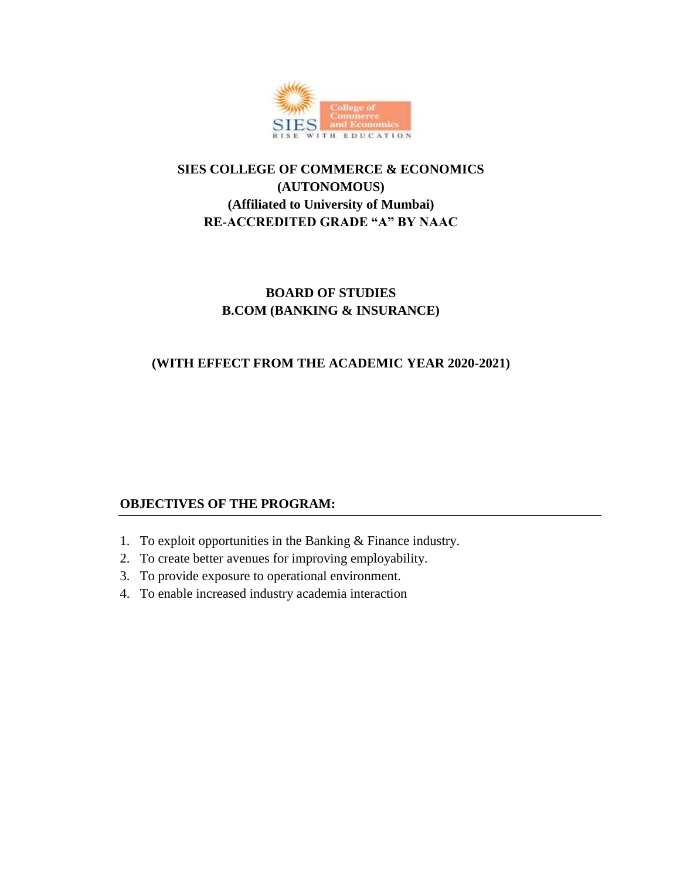

# **SIES COLLEGE OF COMMERCE & ECONOMICS (AUTONOMOUS) (Affiliated to University of Mumbai) RE-ACCREDITED GRADE "A" BY NAAC**

# **BOARD OF STUDIES B.COM (BANKING & INSURANCE)**

# **(WITH EFFECT FROM THE ACADEMIC YEAR 2020-2021)**

# **OBJECTIVES OF THE PROGRAM:**

- 1. To exploit opportunities in the Banking & Finance industry.
- 2. To create better avenues for improving employability.
- 3. To provide exposure to operational environment.
- 4. To enable increased industry academia interaction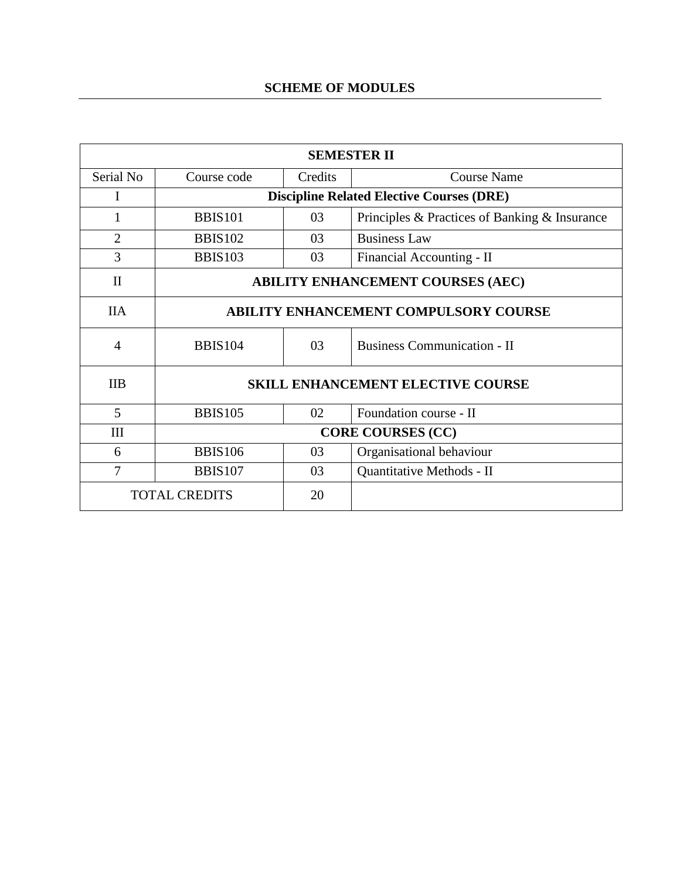# **SCHEME OF MODULES**

| <b>SEMESTER II</b>         |                                                  |         |                                               |
|----------------------------|--------------------------------------------------|---------|-----------------------------------------------|
| Serial No                  | Course code                                      | Credits | <b>Course Name</b>                            |
| I                          | <b>Discipline Related Elective Courses (DRE)</b> |         |                                               |
| 1                          | <b>BBIS101</b>                                   | 03      | Principles & Practices of Banking & Insurance |
| $\overline{2}$             | <b>BBIS102</b>                                   | 03      | <b>Business Law</b>                           |
| 3                          | <b>BBIS103</b>                                   | 03      | Financial Accounting - II                     |
| $\mathbf{I}$               | <b>ABILITY ENHANCEMENT COURSES (AEC)</b>         |         |                                               |
| <b>IIA</b>                 | <b>ABILITY ENHANCEMENT COMPULSORY COURSE</b>     |         |                                               |
| $\overline{4}$             | <b>BBIS104</b>                                   | 03      | <b>Business Communication - II</b>            |
| <b>IIB</b>                 | <b>SKILL ENHANCEMENT ELECTIVE COURSE</b>         |         |                                               |
| 5                          | <b>BBIS105</b>                                   | 02      | Foundation course - II                        |
| III                        | <b>CORE COURSES (CC)</b>                         |         |                                               |
| 6                          | <b>BBIS106</b>                                   | 03      | Organisational behaviour                      |
| 7                          | <b>BBIS107</b>                                   | 03      | Quantitative Methods - II                     |
| <b>TOTAL CREDITS</b><br>20 |                                                  |         |                                               |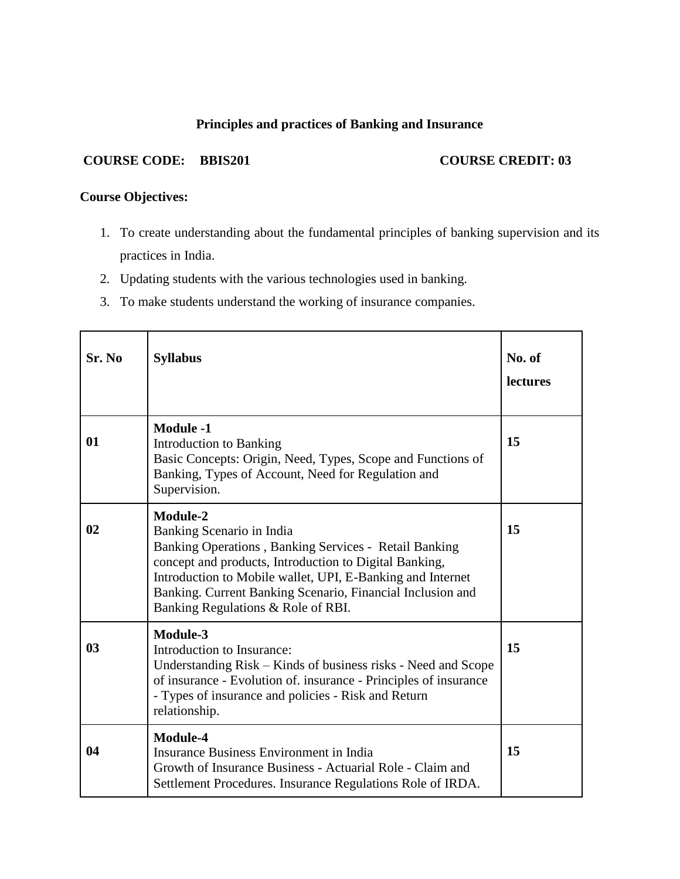# **Principles and practices of Banking and Insurance**

### **COURSE CODE:** BBIS201 **COURSE CREDIT: 03**

# **Course Objectives:**

- 1. To create understanding about the fundamental principles of banking supervision and its practices in India.
- 2. Updating students with the various technologies used in banking.
- 3. To make students understand the working of insurance companies.

| Sr. No         | <b>Syllabus</b>                                                                                                                                                                                                                                                                                                                   | No. of<br><b>lectures</b> |
|----------------|-----------------------------------------------------------------------------------------------------------------------------------------------------------------------------------------------------------------------------------------------------------------------------------------------------------------------------------|---------------------------|
| 01             | <b>Module -1</b><br>Introduction to Banking<br>Basic Concepts: Origin, Need, Types, Scope and Functions of<br>Banking, Types of Account, Need for Regulation and<br>Supervision.                                                                                                                                                  | 15                        |
| 02             | <b>Module-2</b><br>Banking Scenario in India<br>Banking Operations, Banking Services - Retail Banking<br>concept and products, Introduction to Digital Banking,<br>Introduction to Mobile wallet, UPI, E-Banking and Internet<br>Banking. Current Banking Scenario, Financial Inclusion and<br>Banking Regulations & Role of RBI. | 15                        |
| 0 <sub>3</sub> | Module-3<br>Introduction to Insurance:<br>Understanding Risk – Kinds of business risks - Need and Scope<br>of insurance - Evolution of. insurance - Principles of insurance<br>- Types of insurance and policies - Risk and Return<br>relationship.                                                                               | 15                        |
| 04             | <b>Module-4</b><br><b>Insurance Business Environment in India</b><br>Growth of Insurance Business - Actuarial Role - Claim and<br>Settlement Procedures. Insurance Regulations Role of IRDA.                                                                                                                                      | 15                        |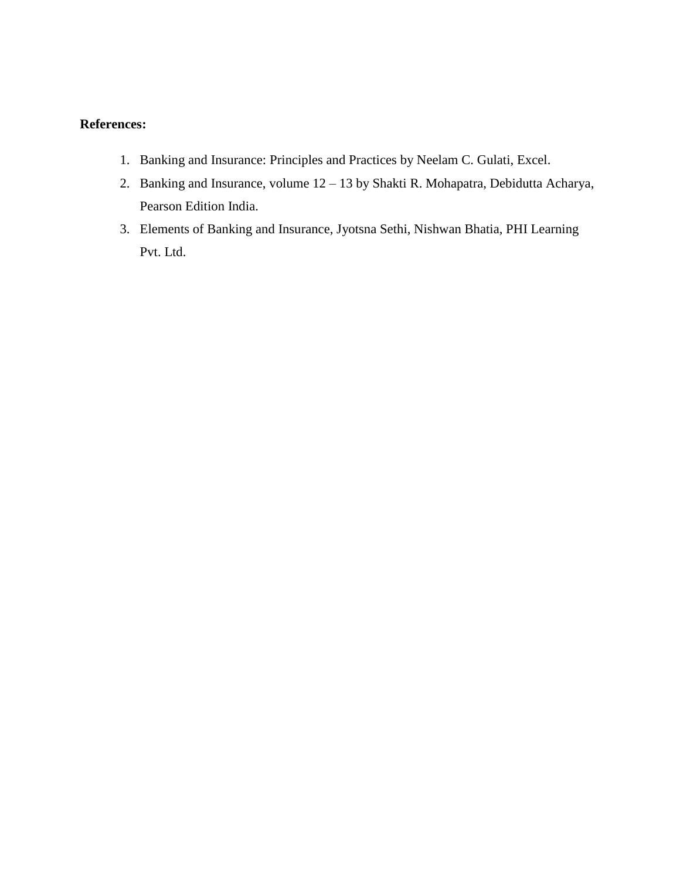- 1. Banking and Insurance: Principles and Practices by Neelam C. Gulati, Excel.
- 2. Banking and Insurance, volume 12 13 by Shakti R. Mohapatra, Debidutta Acharya, Pearson Edition India.
- 3. Elements of Banking and Insurance, Jyotsna Sethi, Nishwan Bhatia, PHI Learning Pvt. Ltd.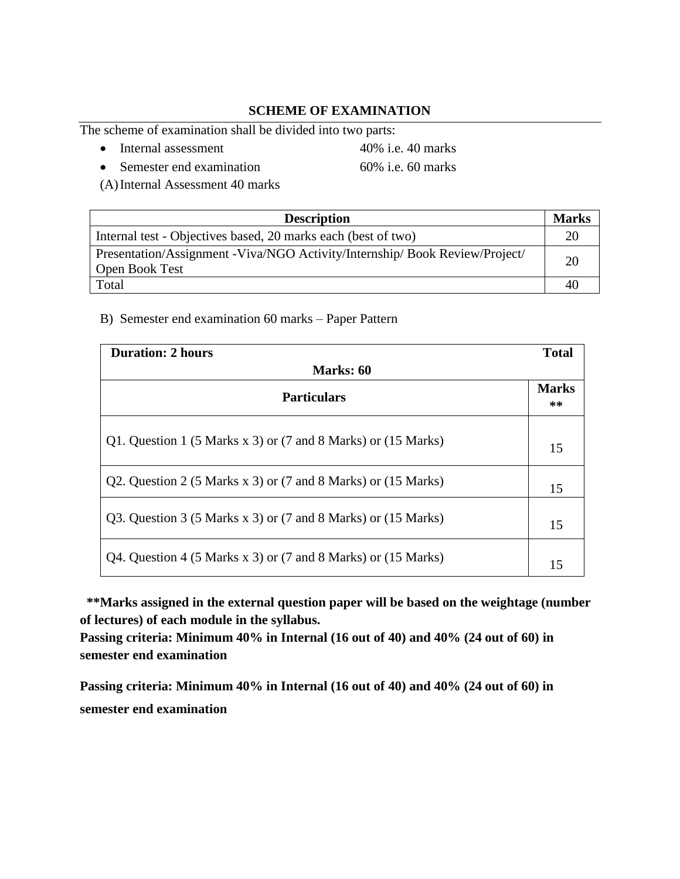# **SCHEME OF EXAMINATION**

The scheme of examination shall be divided into two parts:

• Internal assessment 40% i.e. 40 marks

• Semester end examination 60% i.e. 60 marks

(A)Internal Assessment 40 marks

| <b>Description</b>                                                           | <b>Marks</b> |
|------------------------------------------------------------------------------|--------------|
| Internal test - Objectives based, 20 marks each (best of two)                |              |
| Presentation/Assignment - Viva/NGO Activity/Internship/ Book Review/Project/ | 20           |
| Open Book Test                                                               |              |
| Total                                                                        | 40           |

#### B) Semester end examination 60 marks – Paper Pattern

| <b>Duration: 2 hours</b>                                      | <b>Total</b>         |  |
|---------------------------------------------------------------|----------------------|--|
| Marks: 60                                                     |                      |  |
| <b>Particulars</b>                                            | <b>Marks</b><br>$**$ |  |
| Q1. Question 1 (5 Marks x 3) or (7 and 8 Marks) or (15 Marks) | 15                   |  |
| Q2. Question 2 (5 Marks x 3) or (7 and 8 Marks) or (15 Marks) | 15                   |  |
| Q3. Question 3 (5 Marks x 3) or (7 and 8 Marks) or (15 Marks) | 15                   |  |
| Q4. Question 4 (5 Marks x 3) or (7 and 8 Marks) or (15 Marks) | 15                   |  |

 **\*\*Marks assigned in the external question paper will be based on the weightage (number of lectures) of each module in the syllabus.**

**Passing criteria: Minimum 40% in Internal (16 out of 40) and 40% (24 out of 60) in semester end examination**

**Passing criteria: Minimum 40% in Internal (16 out of 40) and 40% (24 out of 60) in semester end examination**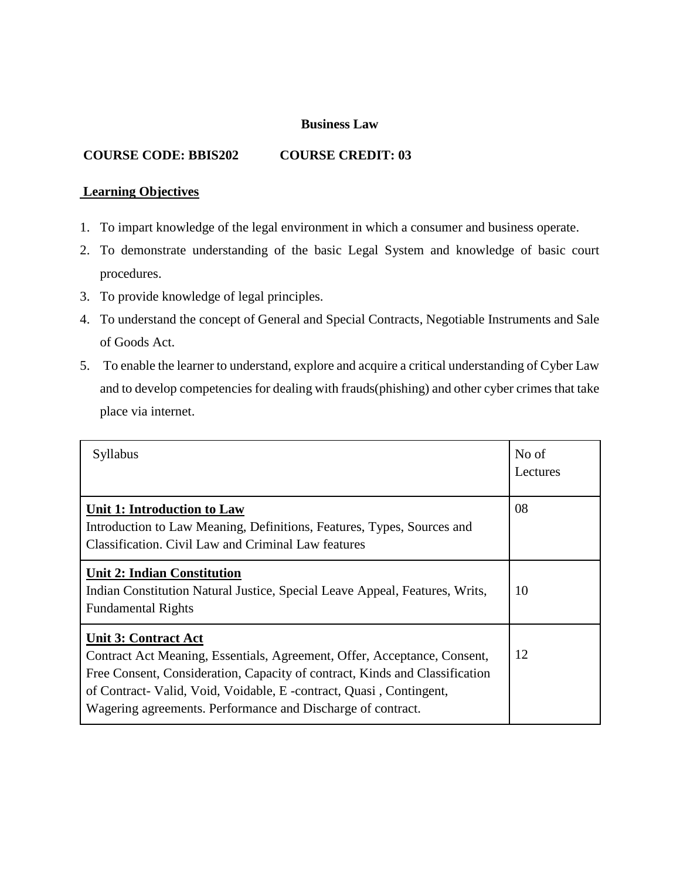#### **Business Law**

### **COURSE CODE: BBIS202 COURSE CREDIT: 03**

# **Learning Objectives**

- 1. To impart knowledge of the legal environment in which a consumer and business operate.
- 2. To demonstrate understanding of the basic Legal System and knowledge of basic court procedures.
- 3. To provide knowledge of legal principles.
- 4. To understand the concept of General and Special Contracts, Negotiable Instruments and Sale of Goods Act.
- 5. To enable the learner to understand, explore and acquire a critical understanding of Cyber Law and to develop competencies for dealing with frauds(phishing) and other cyber crimes that take place via internet.

| Syllabus                                                                                                                                                                                                                                                                                                                    | No of<br>Lectures |
|-----------------------------------------------------------------------------------------------------------------------------------------------------------------------------------------------------------------------------------------------------------------------------------------------------------------------------|-------------------|
| <b>Unit 1: Introduction to Law</b><br>Introduction to Law Meaning, Definitions, Features, Types, Sources and<br>Classification. Civil Law and Criminal Law features                                                                                                                                                         | 08                |
| <b>Unit 2: Indian Constitution</b><br>Indian Constitution Natural Justice, Special Leave Appeal, Features, Writs,<br><b>Fundamental Rights</b>                                                                                                                                                                              | 10                |
| <b>Unit 3: Contract Act</b><br>Contract Act Meaning, Essentials, Agreement, Offer, Acceptance, Consent,<br>Free Consent, Consideration, Capacity of contract, Kinds and Classification<br>of Contract-Valid, Void, Voidable, E -contract, Quasi, Contingent,<br>Wagering agreements. Performance and Discharge of contract. | 12                |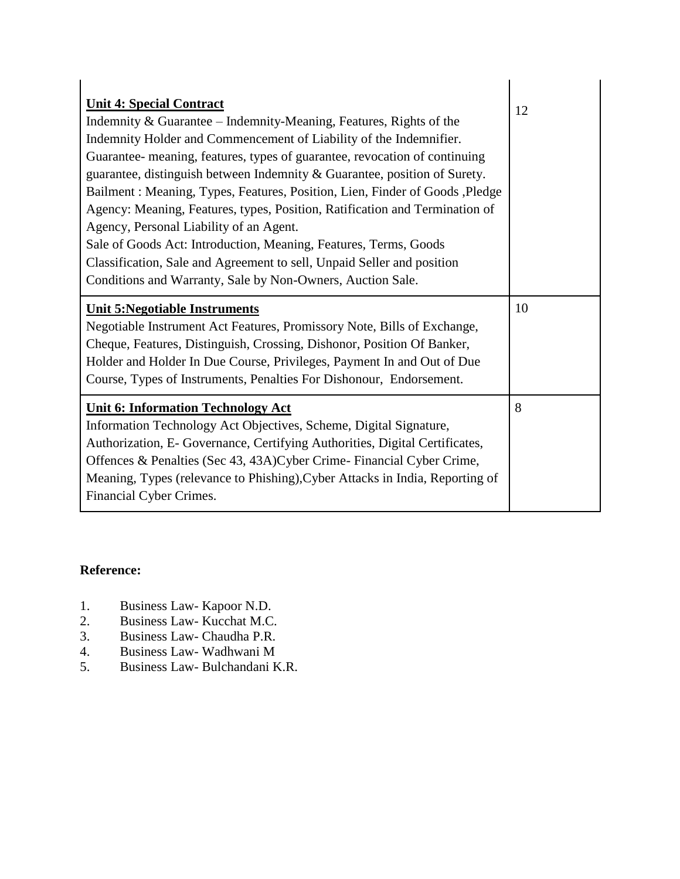| <b>Unit 4: Special Contract</b><br>Indemnity & Guarantee – Indemnity-Meaning, Features, Rights of the<br>Indemnity Holder and Commencement of Liability of the Indemnifier.<br>Guarantee- meaning, features, types of guarantee, revocation of continuing<br>guarantee, distinguish between Indemnity & Guarantee, position of Surety.<br>Bailment: Meaning, Types, Features, Position, Lien, Finder of Goods, Pledge<br>Agency: Meaning, Features, types, Position, Ratification and Termination of<br>Agency, Personal Liability of an Agent.<br>Sale of Goods Act: Introduction, Meaning, Features, Terms, Goods<br>Classification, Sale and Agreement to sell, Unpaid Seller and position<br>Conditions and Warranty, Sale by Non-Owners, Auction Sale. | 12 |
|-------------------------------------------------------------------------------------------------------------------------------------------------------------------------------------------------------------------------------------------------------------------------------------------------------------------------------------------------------------------------------------------------------------------------------------------------------------------------------------------------------------------------------------------------------------------------------------------------------------------------------------------------------------------------------------------------------------------------------------------------------------|----|
| <b>Unit 5: Negotiable Instruments</b>                                                                                                                                                                                                                                                                                                                                                                                                                                                                                                                                                                                                                                                                                                                       | 10 |
|                                                                                                                                                                                                                                                                                                                                                                                                                                                                                                                                                                                                                                                                                                                                                             |    |
| Negotiable Instrument Act Features, Promissory Note, Bills of Exchange,<br>Cheque, Features, Distinguish, Crossing, Dishonor, Position Of Banker,                                                                                                                                                                                                                                                                                                                                                                                                                                                                                                                                                                                                           |    |
| Holder and Holder In Due Course, Privileges, Payment In and Out of Due                                                                                                                                                                                                                                                                                                                                                                                                                                                                                                                                                                                                                                                                                      |    |
| Course, Types of Instruments, Penalties For Dishonour, Endorsement.                                                                                                                                                                                                                                                                                                                                                                                                                                                                                                                                                                                                                                                                                         |    |

- 1. Business Law- Kapoor N.D.
- 2. Business Law- Kucchat M.C.
- 3. Business Law- Chaudha P.R.
- 4. Business Law- Wadhwani M<br>5. Business Law- Bulchandani F
- 5. Business Law- Bulchandani K.R.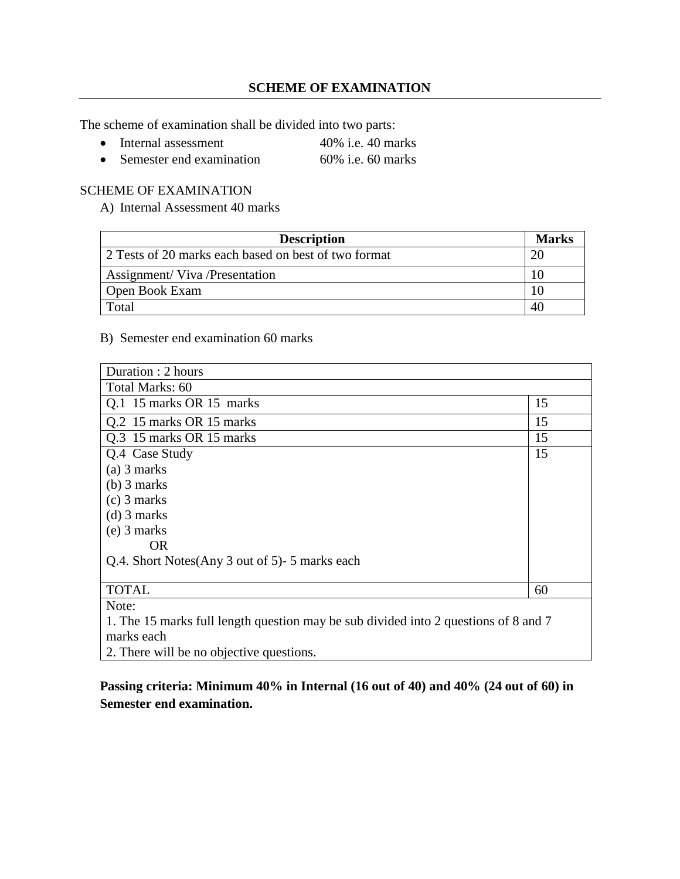The scheme of examination shall be divided into two parts:

- Internal assessment 40% i.e. 40 marks
- Semester end examination 60% i.e. 60 marks

# SCHEME OF EXAMINATION

A) Internal Assessment 40 marks

| <b>Description</b>                                   | <b>Marks</b> |
|------------------------------------------------------|--------------|
| 2 Tests of 20 marks each based on best of two format |              |
| <b>Assignment/ Viva /Presentation</b>                |              |
| Open Book Exam                                       |              |
| Total                                                |              |

#### B) Semester end examination 60 marks

| Duration : 2 hours                                                                  |    |  |
|-------------------------------------------------------------------------------------|----|--|
| Total Marks: 60                                                                     |    |  |
| Q.1 15 marks OR 15 marks                                                            | 15 |  |
| Q.2 15 marks OR 15 marks                                                            | 15 |  |
| Q.3 15 marks OR 15 marks                                                            | 15 |  |
| Q.4 Case Study                                                                      | 15 |  |
| $(a)$ 3 marks                                                                       |    |  |
| $(b)$ 3 marks                                                                       |    |  |
| $(c)$ 3 marks                                                                       |    |  |
| $(d)$ 3 marks                                                                       |    |  |
| $(e)$ 3 marks                                                                       |    |  |
| OR.                                                                                 |    |  |
| Q.4. Short Notes(Any 3 out of 5)-5 marks each                                       |    |  |
|                                                                                     |    |  |
| <b>TOTAL</b>                                                                        | 60 |  |
| Note:                                                                               |    |  |
| 1. The 15 marks full length question may be sub divided into 2 questions of 8 and 7 |    |  |
| marks each                                                                          |    |  |
| 2. There will be no objective questions.                                            |    |  |

# **Passing criteria: Minimum 40% in Internal (16 out of 40) and 40% (24 out of 60) in Semester end examination.**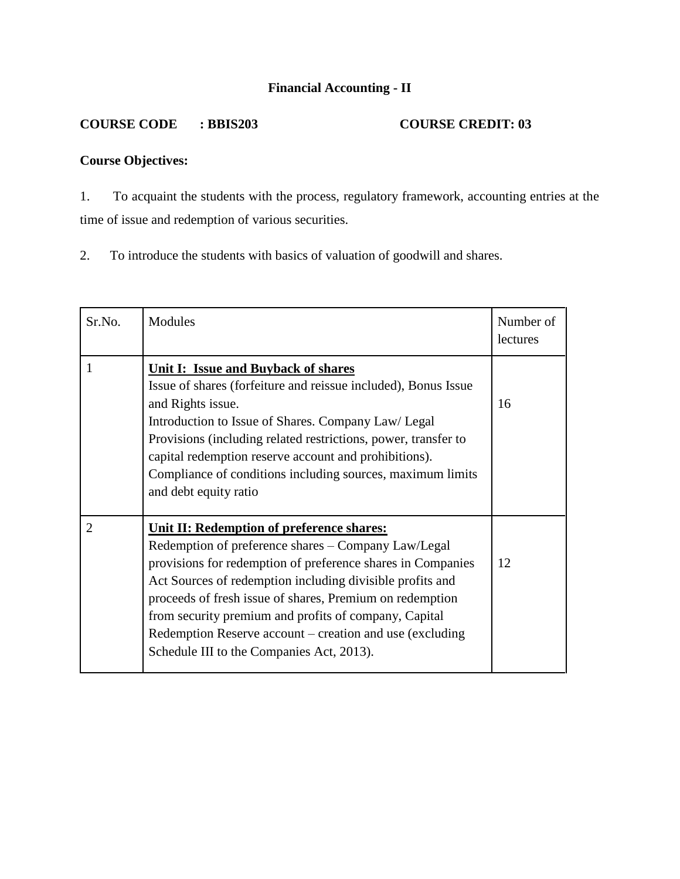# **Financial Accounting - II**

# **COURSE CODE : BBIS203 COURSE CREDIT: 03**

# **Course Objectives:**

1. To acquaint the students with the process, regulatory framework, accounting entries at the time of issue and redemption of various securities.

2. To introduce the students with basics of valuation of goodwill and shares.

| Sr.No.         | Modules                                                                                                                                                                                                                                                                                                                                                                                                                                                           | Number of<br>lectures |
|----------------|-------------------------------------------------------------------------------------------------------------------------------------------------------------------------------------------------------------------------------------------------------------------------------------------------------------------------------------------------------------------------------------------------------------------------------------------------------------------|-----------------------|
| 1              | <b>Unit I: Issue and Buyback of shares</b><br>Issue of shares (forfeiture and reissue included), Bonus Issue<br>and Rights issue.<br>Introduction to Issue of Shares. Company Law/ Legal<br>Provisions (including related restrictions, power, transfer to<br>capital redemption reserve account and prohibitions).<br>Compliance of conditions including sources, maximum limits<br>and debt equity ratio                                                        | 16                    |
| $\overline{2}$ | <b>Unit II: Redemption of preference shares:</b><br>Redemption of preference shares - Company Law/Legal<br>provisions for redemption of preference shares in Companies<br>Act Sources of redemption including divisible profits and<br>proceeds of fresh issue of shares, Premium on redemption<br>from security premium and profits of company, Capital<br>Redemption Reserve account – creation and use (excluding<br>Schedule III to the Companies Act, 2013). | 12                    |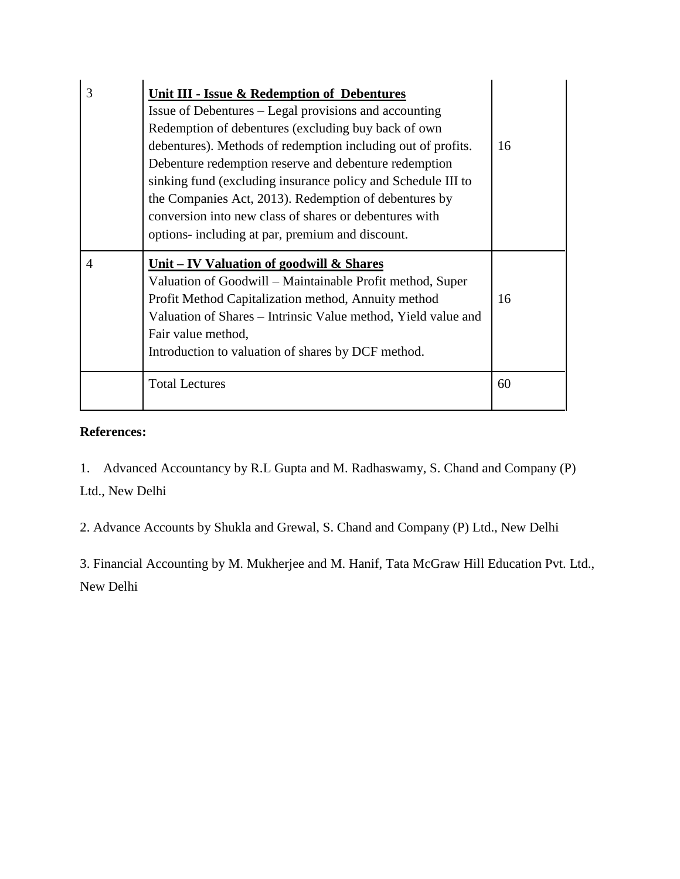| 3 | <b>Unit III - Issue &amp; Redemption of Debentures</b><br>Issue of Debentures – Legal provisions and accounting<br>Redemption of debentures (excluding buy back of own<br>debentures). Methods of redemption including out of profits.<br>Debenture redemption reserve and debenture redemption<br>sinking fund (excluding insurance policy and Schedule III to<br>the Companies Act, 2013). Redemption of debentures by<br>conversion into new class of shares or debentures with<br>options- including at par, premium and discount. | 16 |
|---|----------------------------------------------------------------------------------------------------------------------------------------------------------------------------------------------------------------------------------------------------------------------------------------------------------------------------------------------------------------------------------------------------------------------------------------------------------------------------------------------------------------------------------------|----|
| 4 | Unit – IV Valuation of goodwill $\&$ Shares<br>Valuation of Goodwill – Maintainable Profit method, Super<br>Profit Method Capitalization method, Annuity method<br>Valuation of Shares – Intrinsic Value method, Yield value and<br>Fair value method,<br>Introduction to valuation of shares by DCF method.                                                                                                                                                                                                                           | 16 |
|   | <b>Total Lectures</b>                                                                                                                                                                                                                                                                                                                                                                                                                                                                                                                  | 60 |

1. Advanced Accountancy by R.L Gupta and M. Radhaswamy, S. Chand and Company (P) Ltd., New Delhi

2. Advance Accounts by Shukla and Grewal, S. Chand and Company (P) Ltd., New Delhi

3. Financial Accounting by M. Mukherjee and M. Hanif, Tata McGraw Hill Education Pvt. Ltd., New Delhi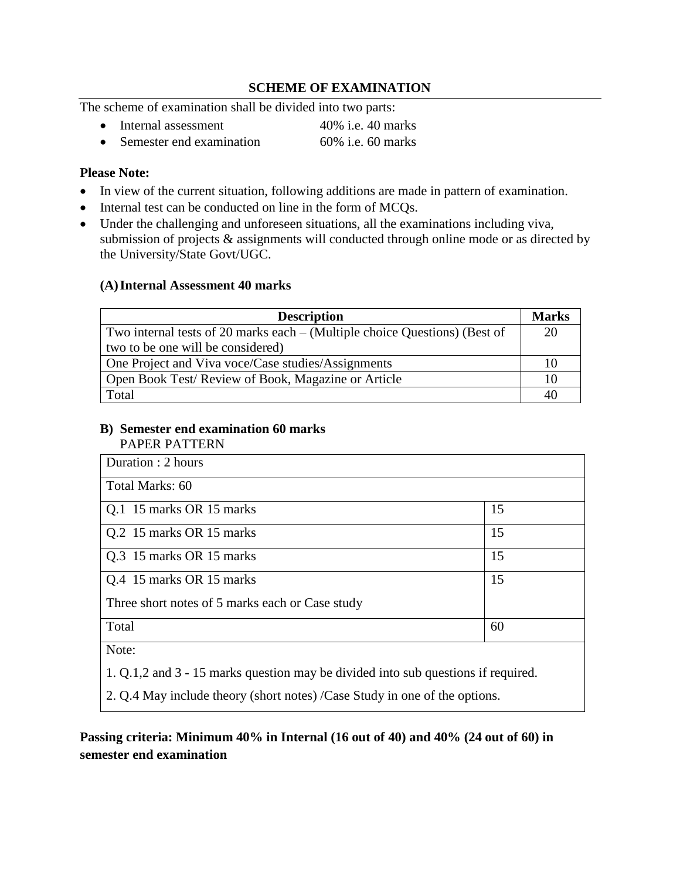# **SCHEME OF EXAMINATION**

The scheme of examination shall be divided into two parts:

- Internal assessment 40% i.e. 40 marks
- Semester end examination 60% i.e. 60 marks

# **Please Note:**

- In view of the current situation, following additions are made in pattern of examination.
- Internal test can be conducted on line in the form of MCQs.
- Under the challenging and unforeseen situations, all the examinations including viva, submission of projects & assignments will conducted through online mode or as directed by the University/State Govt/UGC.

#### **(A)Internal Assessment 40 marks**

| <b>Description</b>                                                         | <b>Marks</b> |
|----------------------------------------------------------------------------|--------------|
| Two internal tests of 20 marks each – (Multiple choice Questions) (Best of | 20           |
| two to be one will be considered)                                          |              |
| One Project and Viva voce/Case studies/Assignments                         | 10           |
| Open Book Test/ Review of Book, Magazine or Article                        | 10           |
| Total                                                                      | 40           |

#### **B) Semester end examination 60 marks** PAPER PATTERN

| Duration : 2 hours                              |    |
|-------------------------------------------------|----|
| Total Marks: 60                                 |    |
| Q.1 15 marks OR 15 marks                        | 15 |
| Q.2 15 marks OR 15 marks                        | 15 |
| Q.3 15 marks OR 15 marks                        | 15 |
| Q.4 15 marks OR 15 marks                        | 15 |
| Three short notes of 5 marks each or Case study |    |
| Total                                           | 60 |
| $N_{\alpha\uparrow\alpha\uparrow}$              |    |

Note:

1. Q.1,2 and 3 - 15 marks question may be divided into sub questions if required.

2. Q.4 May include theory (short notes) /Case Study in one of the options.

**Passing criteria: Minimum 40% in Internal (16 out of 40) and 40% (24 out of 60) in semester end examination**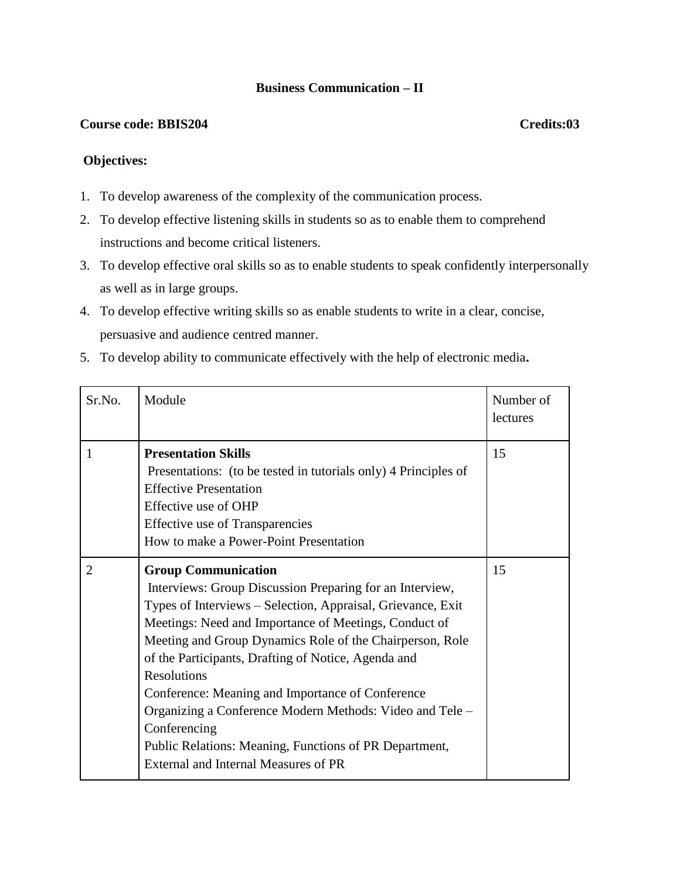# **Business Communication – II**

# **Course code: BBIS204 Credits:03**

#### **Objectives:**

- 1. To develop awareness of the complexity of the communication process.
- 2. To develop effective listening skills in students so as to enable them to comprehend instructions and become critical listeners.
- 3. To develop effective oral skills so as to enable students to speak confidently interpersonally as well as in large groups.
- 4. To develop effective writing skills so as enable students to write in a clear, concise, persuasive and audience centred manner.
- 5. To develop ability to communicate effectively with the help of electronic media**.**

| Sr.No. | Module                                                                                                                                                                                                                                                                                                                                                                                                                                                                                                                                                                                    | Number of<br>lectures |
|--------|-------------------------------------------------------------------------------------------------------------------------------------------------------------------------------------------------------------------------------------------------------------------------------------------------------------------------------------------------------------------------------------------------------------------------------------------------------------------------------------------------------------------------------------------------------------------------------------------|-----------------------|
|        | <b>Presentation Skills</b><br>Presentations: (to be tested in tutorials only) 4 Principles of<br><b>Effective Presentation</b><br>Effective use of OHP<br><b>Effective use of Transparencies</b><br>How to make a Power-Point Presentation                                                                                                                                                                                                                                                                                                                                                | 15                    |
| 2      | <b>Group Communication</b><br>Interviews: Group Discussion Preparing for an Interview,<br>Types of Interviews - Selection, Appraisal, Grievance, Exit<br>Meetings: Need and Importance of Meetings, Conduct of<br>Meeting and Group Dynamics Role of the Chairperson, Role<br>of the Participants, Drafting of Notice, Agenda and<br><b>Resolutions</b><br>Conference: Meaning and Importance of Conference<br>Organizing a Conference Modern Methods: Video and Tele –<br>Conferencing<br>Public Relations: Meaning, Functions of PR Department,<br>External and Internal Measures of PR | 15                    |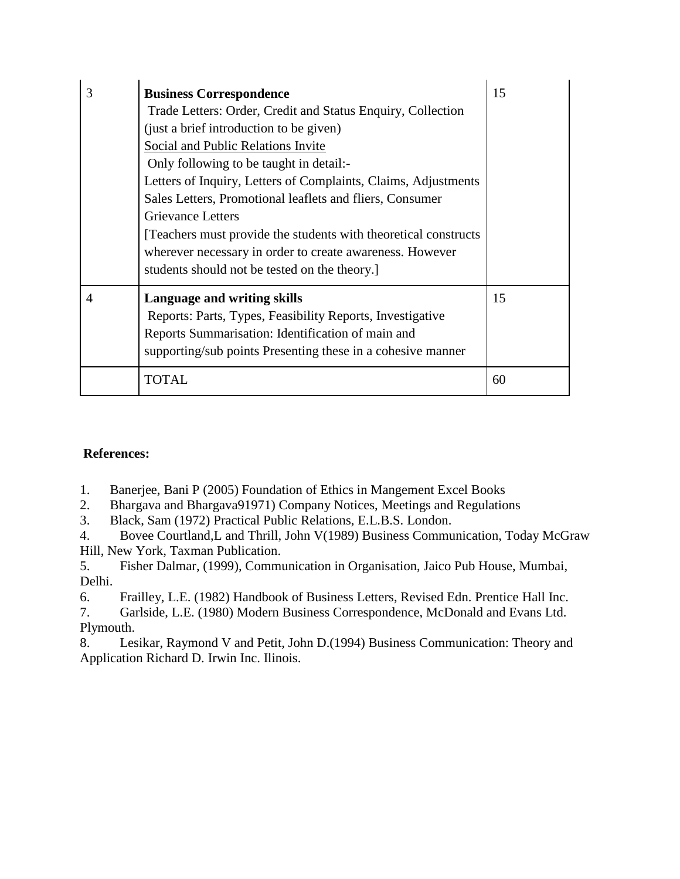| 3 | <b>Business Correspondence</b><br>Trade Letters: Order, Credit and Status Enquiry, Collection<br>(just a brief introduction to be given)<br>Social and Public Relations Invite<br>Only following to be taught in detail:-<br>Letters of Inquiry, Letters of Complaints, Claims, Adjustments<br>Sales Letters, Promotional leaflets and fliers, Consumer<br><b>Grievance Letters</b><br>[Teachers must provide the students with theoretical constructs]<br>wherever necessary in order to create awareness. However<br>students should not be tested on the theory. | 15 |
|---|---------------------------------------------------------------------------------------------------------------------------------------------------------------------------------------------------------------------------------------------------------------------------------------------------------------------------------------------------------------------------------------------------------------------------------------------------------------------------------------------------------------------------------------------------------------------|----|
| 4 | Language and writing skills<br>Reports: Parts, Types, Feasibility Reports, Investigative<br>Reports Summarisation: Identification of main and<br>supporting/sub points Presenting these in a cohesive manner                                                                                                                                                                                                                                                                                                                                                        | 15 |
|   | TOTAL                                                                                                                                                                                                                                                                                                                                                                                                                                                                                                                                                               | 60 |

- 1.Banerjee, Bani P (2005) Foundation of Ethics in Mangement Excel Books
- 2. Bhargava and Bhargava91971) Company Notices, Meetings and Regulations
- 3. Black, Sam (1972) Practical Public Relations, E.L.B.S. London.

4. Bovee Courtland,L and Thrill, John V(1989) Business Communication, Today McGraw Hill, New York, Taxman Publication.

5. Fisher Dalmar, (1999), Communication in Organisation, Jaico Pub House, Mumbai, Delhi.

6. Frailley, L.E. (1982) Handbook of Business Letters, Revised Edn. Prentice Hall Inc.

7. Garlside, L.E. (1980) Modern Business Correspondence, McDonald and Evans Ltd. Plymouth.

8. Lesikar, Raymond V and Petit, John D.(1994) Business Communication: Theory and Application Richard D. Irwin Inc. Ilinois.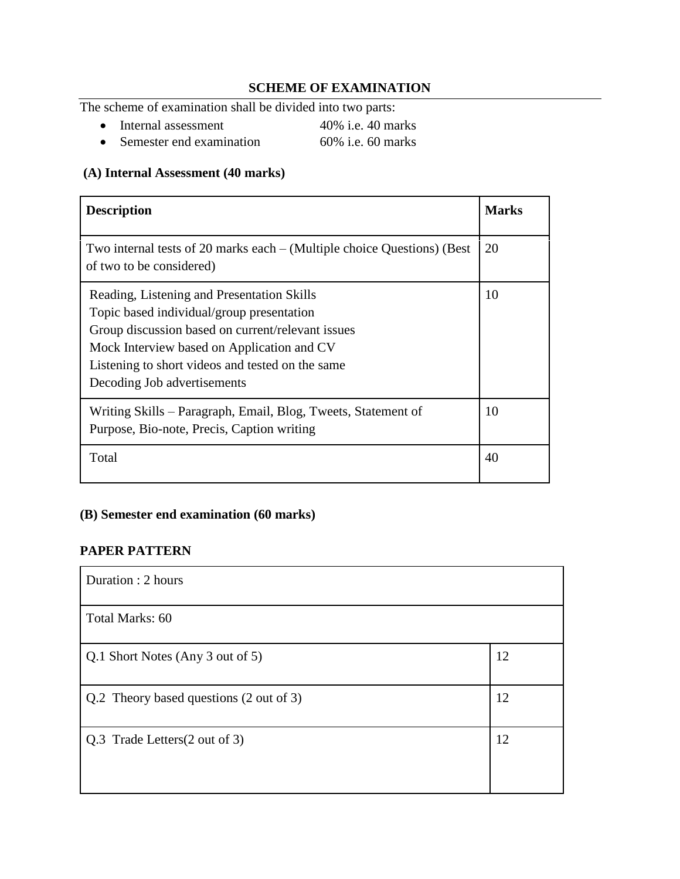# **SCHEME OF EXAMINATION**

The scheme of examination shall be divided into two parts:

- Internal assessment 40% i.e. 40 marks<br>• Semester end examination 60% i.e. 60 marks
- $\bullet$  Semester end examination

# **(A) Internal Assessment (40 marks)**

| <b>Description</b>                                                                                                                                                                                                                                                            | <b>Marks</b> |
|-------------------------------------------------------------------------------------------------------------------------------------------------------------------------------------------------------------------------------------------------------------------------------|--------------|
| Two internal tests of 20 marks each $-$ (Multiple choice Questions) (Best<br>of two to be considered)                                                                                                                                                                         | 20           |
| Reading, Listening and Presentation Skills<br>Topic based individual/group presentation<br>Group discussion based on current/relevant issues<br>Mock Interview based on Application and CV<br>Listening to short videos and tested on the same<br>Decoding Job advertisements | 10           |
| Writing Skills – Paragraph, Email, Blog, Tweets, Statement of<br>Purpose, Bio-note, Precis, Caption writing                                                                                                                                                                   | 10           |
| Total                                                                                                                                                                                                                                                                         | 40           |

# **(B) Semester end examination (60 marks)**

# **PAPER PATTERN**

| Duration : 2 hours                      |    |
|-----------------------------------------|----|
| Total Marks: 60                         |    |
| Q.1 Short Notes (Any 3 out of 5)        | 12 |
| Q.2 Theory based questions (2 out of 3) | 12 |
| Q.3 Trade Letters (2 out of 3)          | 12 |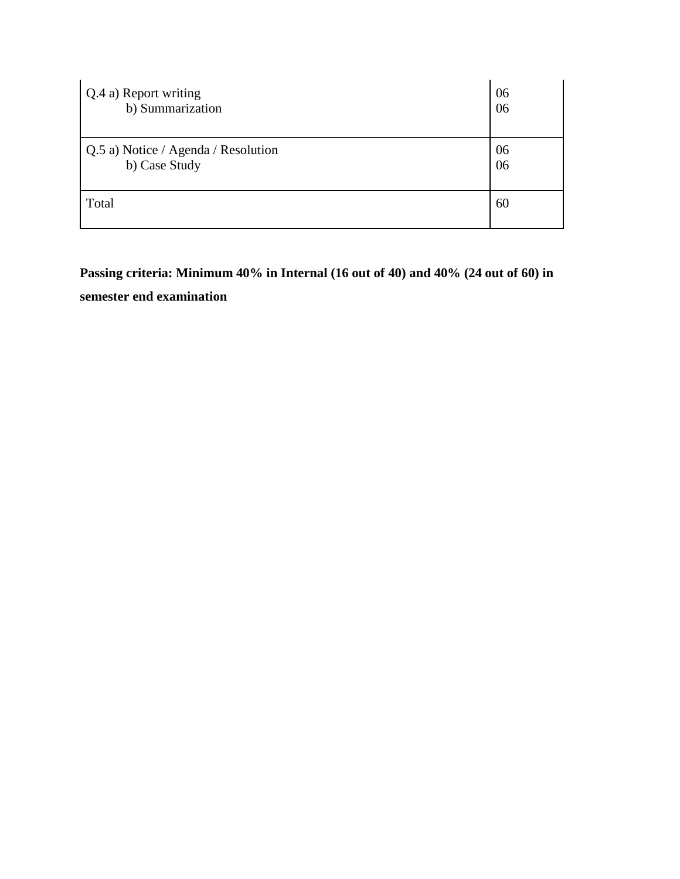| Q.4 a) Report writing               | 06 |
|-------------------------------------|----|
| b) Summarization                    | 06 |
| Q.5 a) Notice / Agenda / Resolution | 06 |
| b) Case Study                       | 06 |
| Total                               | 60 |

**Passing criteria: Minimum 40% in Internal (16 out of 40) and 40% (24 out of 60) in semester end examination**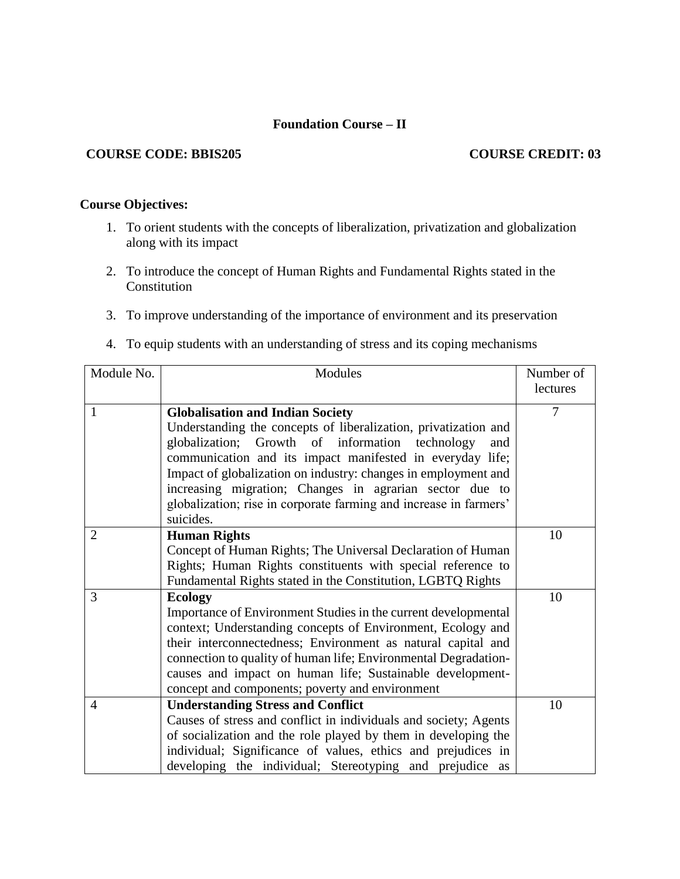# **Foundation Course – II**

### **COURSE CODE: BBIS205 COURSE CREDIT: 03**

# **Course Objectives:**

- 1. To orient students with the concepts of liberalization, privatization and globalization along with its impact
- 2. To introduce the concept of Human Rights and Fundamental Rights stated in the Constitution
- 3. To improve understanding of the importance of environment and its preservation
- 4. To equip students with an understanding of stress and its coping mechanisms

| Module No.     | Modules                                                           | Number of |
|----------------|-------------------------------------------------------------------|-----------|
|                |                                                                   | lectures  |
| 1              | <b>Globalisation and Indian Society</b>                           | 7         |
|                | Understanding the concepts of liberalization, privatization and   |           |
|                | globalization; Growth of information technology<br>and            |           |
|                | communication and its impact manifested in everyday life;         |           |
|                | Impact of globalization on industry: changes in employment and    |           |
|                | increasing migration; Changes in agrarian sector due to           |           |
|                | globalization; rise in corporate farming and increase in farmers' |           |
|                | suicides.                                                         |           |
| $\overline{2}$ | <b>Human Rights</b>                                               | 10        |
|                | Concept of Human Rights; The Universal Declaration of Human       |           |
|                | Rights; Human Rights constituents with special reference to       |           |
|                | Fundamental Rights stated in the Constitution, LGBTQ Rights       |           |
| 3              | <b>Ecology</b>                                                    | 10        |
|                | Importance of Environment Studies in the current developmental    |           |
|                | context; Understanding concepts of Environment, Ecology and       |           |
|                | their interconnectedness; Environment as natural capital and      |           |
|                | connection to quality of human life; Environmental Degradation-   |           |
|                | causes and impact on human life; Sustainable development-         |           |
|                | concept and components; poverty and environment                   |           |
| 4              | <b>Understanding Stress and Conflict</b>                          | 10        |
|                | Causes of stress and conflict in individuals and society; Agents  |           |
|                | of socialization and the role played by them in developing the    |           |
|                | individual; Significance of values, ethics and prejudices in      |           |
|                | developing the individual; Stereotyping and prejudice as          |           |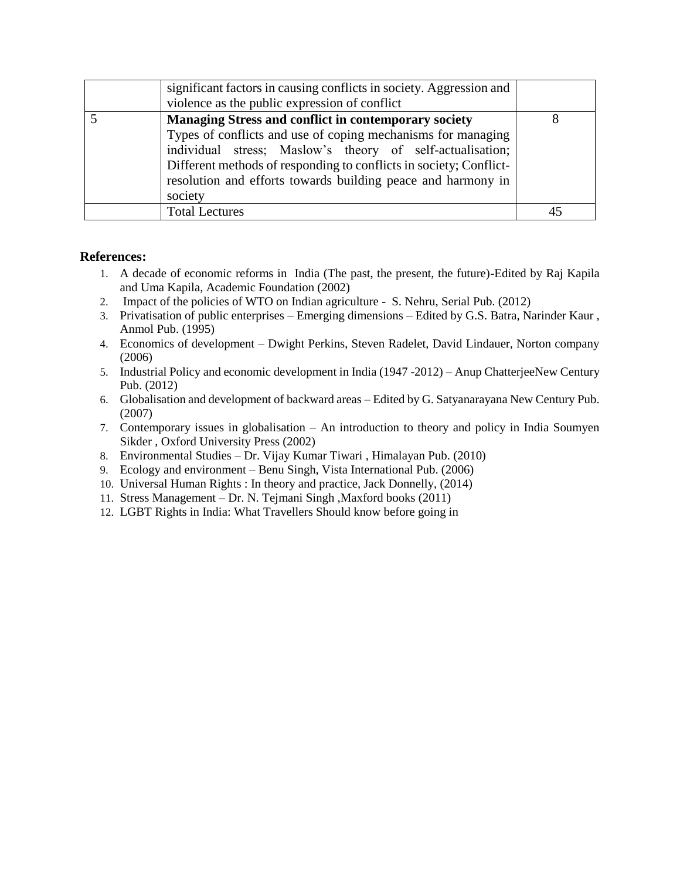| significant factors in causing conflicts in society. Aggression and<br>violence as the public expression of conflict                                                                                                                                                                                                                      |  |
|-------------------------------------------------------------------------------------------------------------------------------------------------------------------------------------------------------------------------------------------------------------------------------------------------------------------------------------------|--|
| <b>Managing Stress and conflict in contemporary society</b><br>Types of conflicts and use of coping mechanisms for managing<br>individual stress; Maslow's theory of self-actualisation;<br>Different methods of responding to conflicts in society; Conflict-<br>resolution and efforts towards building peace and harmony in<br>society |  |
| <b>Total Lectures</b>                                                                                                                                                                                                                                                                                                                     |  |

- 1. A decade of economic reforms in India (The past, the present, the future)-Edited by Raj Kapila and Uma Kapila, Academic Foundation (2002)
- 2. Impact of the policies of WTO on Indian agriculture S. Nehru, Serial Pub. (2012)
- 3. Privatisation of public enterprises Emerging dimensions Edited by G.S. Batra, Narinder Kaur , Anmol Pub. (1995)
- 4. Economics of development Dwight Perkins, Steven Radelet, David Lindauer, Norton company (2006)
- 5. Industrial Policy and economic development in India (1947 -2012) Anup ChatterjeeNew Century Pub. (2012)
- 6. Globalisation and development of backward areas Edited by G. Satyanarayana New Century Pub. (2007)
- 7. Contemporary issues in globalisation An introduction to theory and policy in India Soumyen Sikder , Oxford University Press (2002)
- 8. Environmental Studies Dr. Vijay Kumar Tiwari , Himalayan Pub. (2010)
- 9. Ecology and environment Benu Singh, Vista International Pub. (2006)
- 10. Universal Human Rights : In theory and practice, Jack Donnelly, (2014)
- 11. Stress Management Dr. N. Tejmani Singh ,Maxford books (2011)
- 12. LGBT Rights in India: What Travellers Should know before going in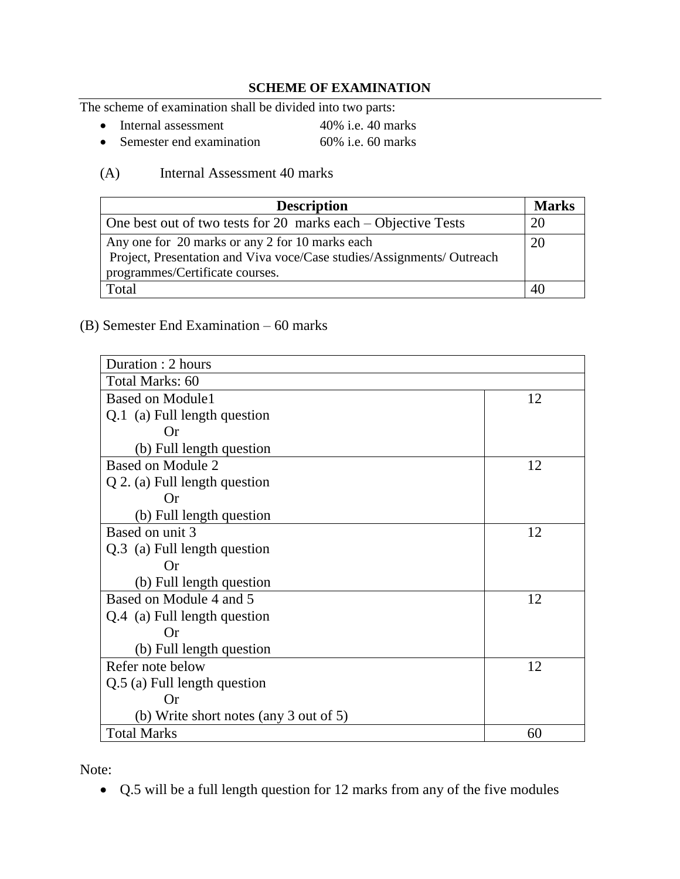# **SCHEME OF EXAMINATION**

The scheme of examination shall be divided into two parts:

- Internal assessment 40% i.e. 40 marks
- Semester end examination 60% i.e. 60 marks

# (A) Internal Assessment 40 marks

| <b>Description</b>                                                                                                                                           | <b>Marks</b> |
|--------------------------------------------------------------------------------------------------------------------------------------------------------------|--------------|
| One best out of two tests for 20 marks each – Objective Tests                                                                                                | 20           |
| Any one for 20 marks or any 2 for 10 marks each<br>Project, Presentation and Viva voce/Case studies/Assignments/ Outreach<br>programmes/Certificate courses. |              |
| Total                                                                                                                                                        |              |

# (B) Semester End Examination – 60 marks

| Duration: 2 hours                      |    |  |
|----------------------------------------|----|--|
| Total Marks: 60                        |    |  |
| <b>Based on Module1</b>                | 12 |  |
| Q.1 (a) Full length question           |    |  |
| <b>Or</b>                              |    |  |
| (b) Full length question               |    |  |
| Based on Module 2                      | 12 |  |
| $Q$ 2. (a) Full length question        |    |  |
| Or                                     |    |  |
| (b) Full length question               |    |  |
| Based on unit 3                        | 12 |  |
| Q.3 (a) Full length question           |    |  |
| <b>Or</b>                              |    |  |
| (b) Full length question               |    |  |
| Based on Module 4 and 5                | 12 |  |
| Q.4 (a) Full length question           |    |  |
| <b>Or</b>                              |    |  |
| (b) Full length question               |    |  |
| Refer note below                       | 12 |  |
| Q.5 (a) Full length question           |    |  |
| Or                                     |    |  |
| (b) Write short notes (any 3 out of 5) |    |  |
| <b>Total Marks</b>                     | 60 |  |

Note:

Q.5 will be a full length question for 12 marks from any of the five modules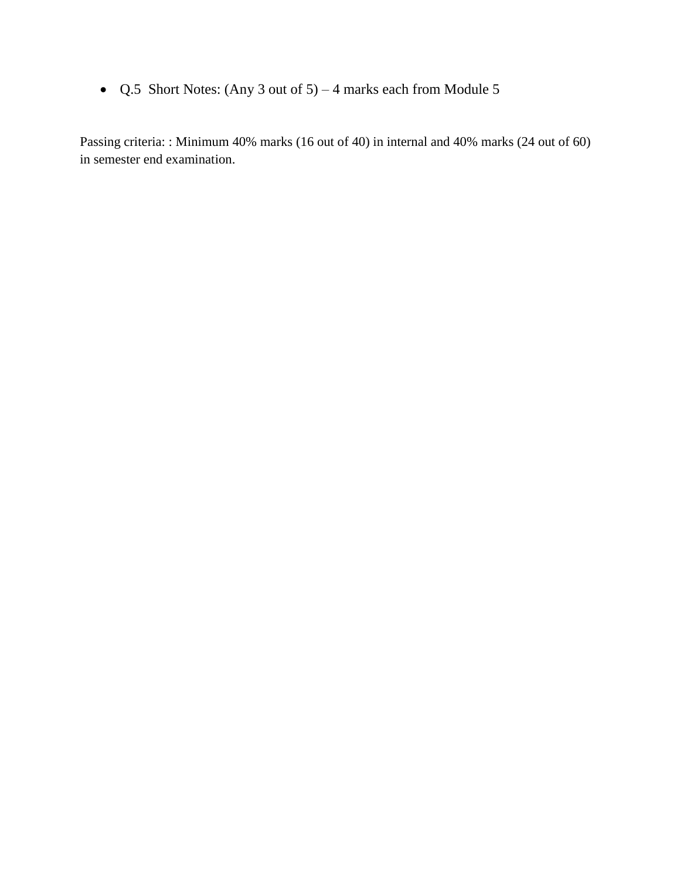• Q.5 Short Notes: (Any 3 out of  $5$ ) – 4 marks each from Module 5

Passing criteria: : Minimum 40% marks (16 out of 40) in internal and 40% marks (24 out of 60) in semester end examination.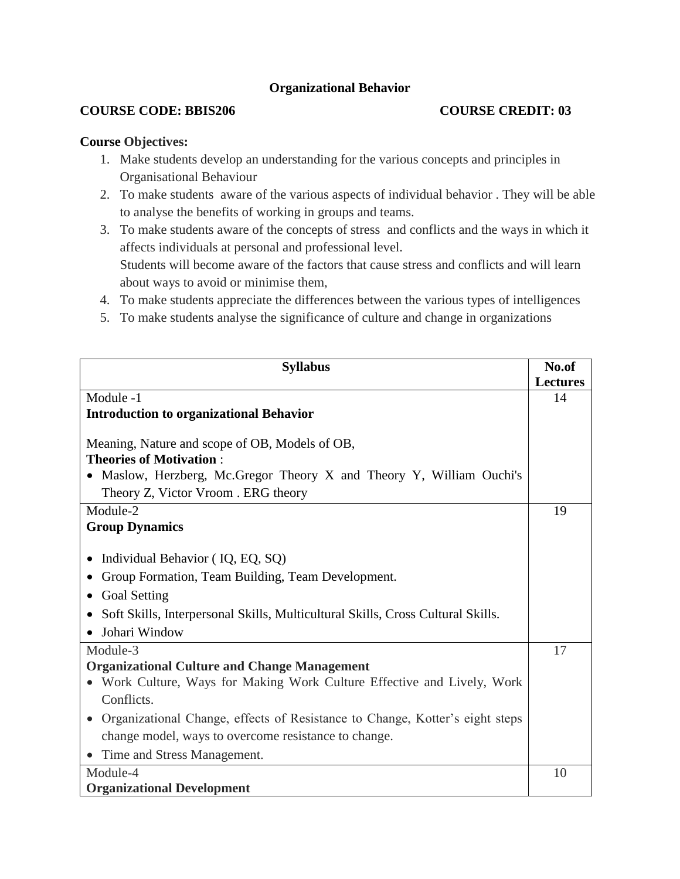# **Organizational Behavior**

# **COURSE CODE: BBIS206 COURSE CREDIT: 03**

# **Course Objectives:**

- 1. Make students develop an understanding for the various concepts and principles in Organisational Behaviour
- 2. To make students aware of the various aspects of individual behavior . They will be able to analyse the benefits of working in groups and teams.
- 3. To make students aware of the concepts of stress and conflicts and the ways in which it affects individuals at personal and professional level. Students will become aware of the factors that cause stress and conflicts and will learn about ways to avoid or minimise them,
- 4. To make students appreciate the differences between the various types of intelligences
- 5. To make students analyse the significance of culture and change in organizations

| <b>Syllabus</b>                                                                 | No.of           |
|---------------------------------------------------------------------------------|-----------------|
|                                                                                 | <b>Lectures</b> |
| Module -1                                                                       | 14              |
| <b>Introduction to organizational Behavior</b>                                  |                 |
| Meaning, Nature and scope of OB, Models of OB,                                  |                 |
| <b>Theories of Motivation:</b>                                                  |                 |
| Maslow, Herzberg, Mc.Gregor Theory X and Theory Y, William Ouchi's              |                 |
| Theory Z, Victor Vroom. ERG theory                                              |                 |
| Module-2                                                                        | 19              |
| <b>Group Dynamics</b>                                                           |                 |
|                                                                                 |                 |
| Individual Behavior (IQ, EQ, SQ)<br>$\bullet$                                   |                 |
| Group Formation, Team Building, Team Development.                               |                 |
| <b>Goal Setting</b>                                                             |                 |
| Soft Skills, Interpersonal Skills, Multicultural Skills, Cross Cultural Skills. |                 |
| Johari Window                                                                   |                 |
| Module-3                                                                        | 17              |
| <b>Organizational Culture and Change Management</b>                             |                 |
| • Work Culture, Ways for Making Work Culture Effective and Lively, Work         |                 |
| Conflicts.                                                                      |                 |
| Organizational Change, effects of Resistance to Change, Kotter's eight steps    |                 |
| change model, ways to overcome resistance to change.                            |                 |
| Time and Stress Management.                                                     |                 |
| Module-4                                                                        | 10              |
| <b>Organizational Development</b>                                               |                 |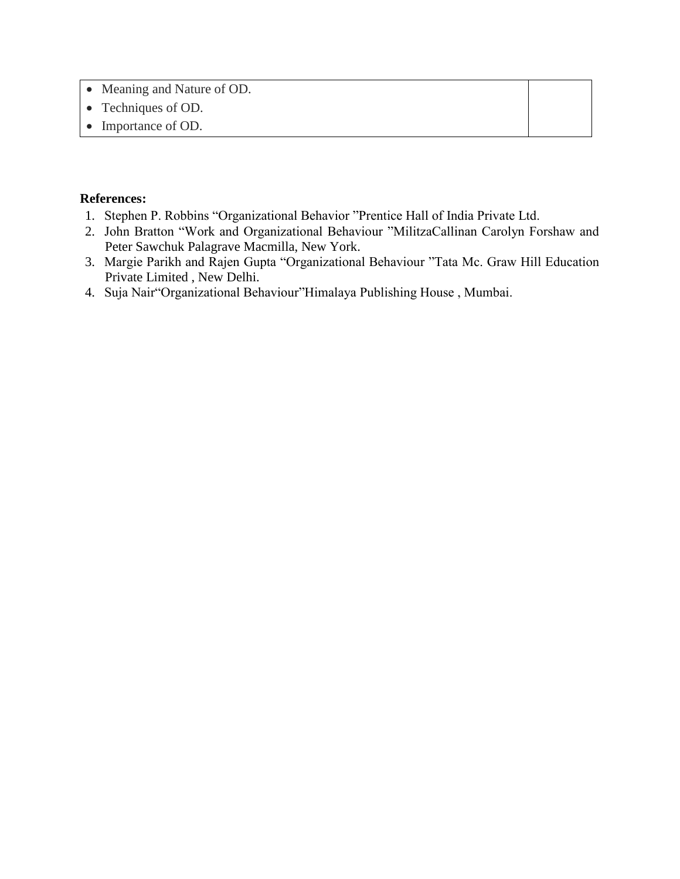- Meaning and Nature of OD.
- Techniques of OD.
- Importance of OD.

- 1. Stephen P. Robbins "Organizational Behavior "Prentice Hall of India Private Ltd.
- 2. John Bratton "Work and Organizational Behaviour "MilitzaCallinan Carolyn Forshaw and Peter Sawchuk Palagrave Macmilla, New York.
- 3. Margie Parikh and Rajen Gupta "Organizational Behaviour "Tata Mc. Graw Hill Education Private Limited , New Delhi.
- 4. Suja Nair"Organizational Behaviour"Himalaya Publishing House , Mumbai.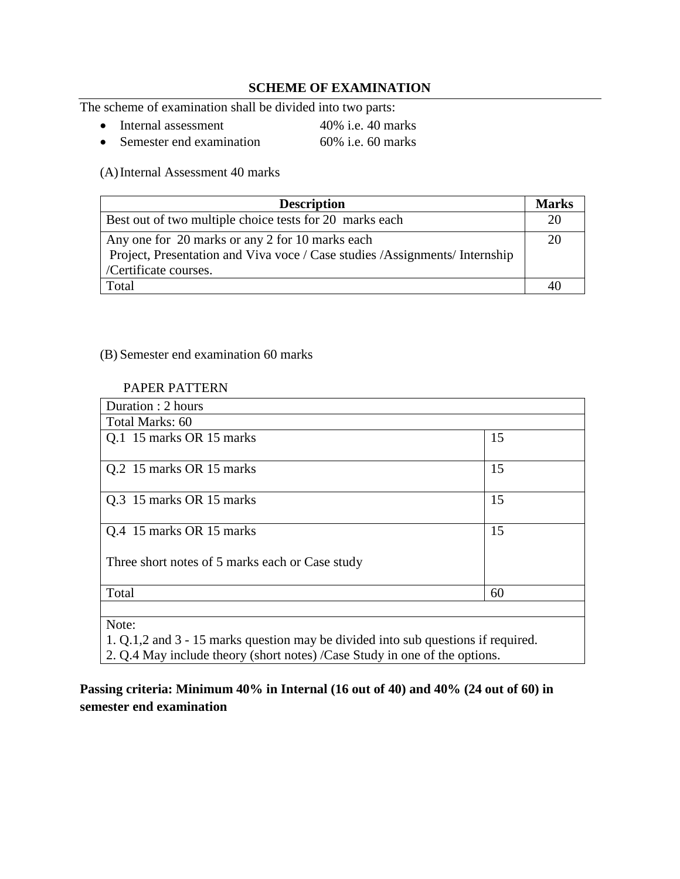# **SCHEME OF EXAMINATION**

The scheme of examination shall be divided into two parts:

- Internal assessment 40% i.e. 40 marks
- Semester end examination 60% i.e. 60 marks

(A)Internal Assessment 40 marks

| <b>Description</b>                                                                                                                                       | <b>Marks</b> |
|----------------------------------------------------------------------------------------------------------------------------------------------------------|--------------|
| Best out of two multiple choice tests for 20 marks each                                                                                                  | 20           |
| Any one for 20 marks or any 2 for 10 marks each<br>Project, Presentation and Viva voce / Case studies / Assignments/ Internship<br>/Certificate courses. | 20           |
| Total                                                                                                                                                    | 40           |

#### (B) Semester end examination 60 marks

#### PAPER PATTERN

| Duration: 2 hours                                                                          |    |  |
|--------------------------------------------------------------------------------------------|----|--|
| Total Marks: 60                                                                            |    |  |
| Q.1 15 marks OR 15 marks                                                                   | 15 |  |
| Q.2 15 marks OR 15 marks                                                                   | 15 |  |
| Q.3 15 marks OR 15 marks                                                                   | 15 |  |
| Q.4 15 marks OR 15 marks                                                                   | 15 |  |
| Three short notes of 5 marks each or Case study                                            |    |  |
| Total                                                                                      | 60 |  |
| Note:<br>1. Q.1,2 and 3 - 15 marks question may be divided into sub questions if required. |    |  |

2. Q.4 May include theory (short notes) /Case Study in one of the options.

# **Passing criteria: Minimum 40% in Internal (16 out of 40) and 40% (24 out of 60) in semester end examination**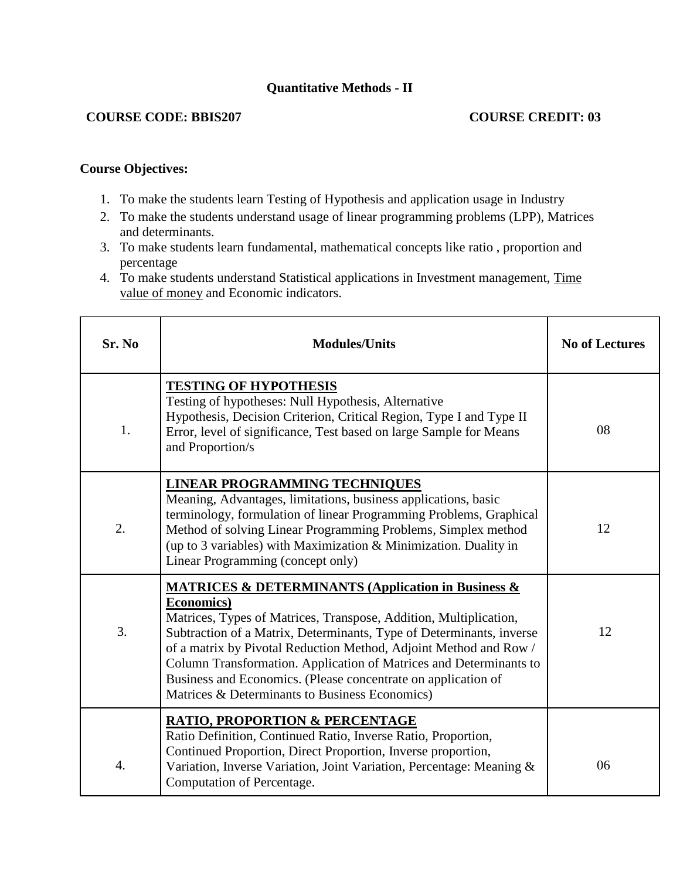# **Quantitative Methods - II**

# **COURSE CODE: BBIS207 COURSE CREDIT: 03**

# **Course Objectives:**

- 1. To make the students learn Testing of Hypothesis and application usage in Industry
- 2. To make the students understand usage of linear programming problems (LPP), Matrices and determinants.
- 3. To make students learn fundamental, mathematical concepts like ratio , proportion and percentage
- 4. To make students understand Statistical applications in Investment management, Time value of money and Economic indicators.

| Sr. No           | <b>Modules/Units</b>                                                                                                                                                                                                                                                                                                                                                                                                                                                                               | <b>No of Lectures</b> |
|------------------|----------------------------------------------------------------------------------------------------------------------------------------------------------------------------------------------------------------------------------------------------------------------------------------------------------------------------------------------------------------------------------------------------------------------------------------------------------------------------------------------------|-----------------------|
| 1.               | <b>TESTING OF HYPOTHESIS</b><br>Testing of hypotheses: Null Hypothesis, Alternative<br>Hypothesis, Decision Criterion, Critical Region, Type I and Type II<br>Error, level of significance, Test based on large Sample for Means<br>and Proportion/s                                                                                                                                                                                                                                               | 08                    |
| 2.               | <b>LINEAR PROGRAMMING TECHNIQUES</b><br>Meaning, Advantages, limitations, business applications, basic<br>terminology, formulation of linear Programming Problems, Graphical<br>Method of solving Linear Programming Problems, Simplex method<br>(up to 3 variables) with Maximization & Minimization. Duality in<br>Linear Programming (concept only)                                                                                                                                             | 12                    |
| 3.               | <b>MATRICES &amp; DETERMINANTS (Application in Business &amp;</b><br><b>Economics</b> )<br>Matrices, Types of Matrices, Transpose, Addition, Multiplication,<br>Subtraction of a Matrix, Determinants, Type of Determinants, inverse<br>of a matrix by Pivotal Reduction Method, Adjoint Method and Row /<br>Column Transformation. Application of Matrices and Determinants to<br>Business and Economics. (Please concentrate on application of<br>Matrices & Determinants to Business Economics) | 12                    |
| $\overline{4}$ . | <b>RATIO, PROPORTION &amp; PERCENTAGE</b><br>Ratio Definition, Continued Ratio, Inverse Ratio, Proportion,<br>Continued Proportion, Direct Proportion, Inverse proportion,<br>Variation, Inverse Variation, Joint Variation, Percentage: Meaning &<br>Computation of Percentage.                                                                                                                                                                                                                   | 06                    |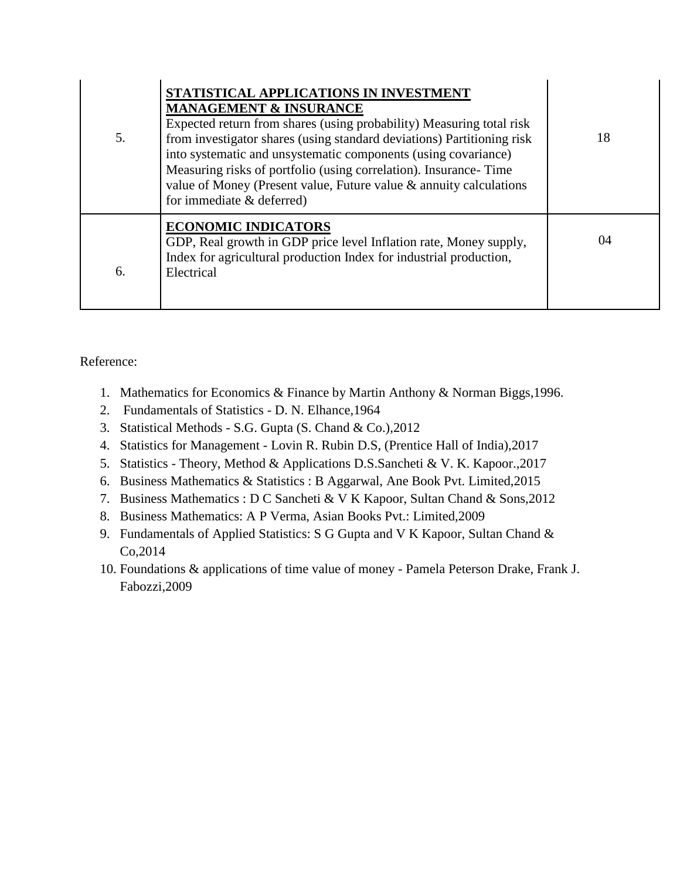| 5. | STATISTICAL APPLICATIONS IN INVESTMENT<br><b>MANAGEMENT &amp; INSURANCE</b><br>Expected return from shares (using probability) Measuring total risk<br>from investigator shares (using standard deviations) Partitioning risk<br>into systematic and unsystematic components (using covariance)<br>Measuring risks of portfolio (using correlation). Insurance-Time<br>value of Money (Present value, Future value & annuity calculations<br>for immediate & deferred) | 18 |
|----|------------------------------------------------------------------------------------------------------------------------------------------------------------------------------------------------------------------------------------------------------------------------------------------------------------------------------------------------------------------------------------------------------------------------------------------------------------------------|----|
| 6. | <b>ECONOMIC INDICATORS</b><br>GDP, Real growth in GDP price level Inflation rate, Money supply,<br>Index for agricultural production Index for industrial production,<br>Electrical                                                                                                                                                                                                                                                                                    | 04 |

- 1. Mathematics for Economics & Finance by Martin Anthony & Norman Biggs,1996.
- 2. Fundamentals of Statistics D. N. Elhance,1964
- 3. Statistical Methods S.G. Gupta (S. Chand & Co.),2012
- 4. Statistics for Management Lovin R. Rubin D.S, (Prentice Hall of India),2017
- 5. Statistics Theory, Method & Applications D.S.Sancheti & V. K. Kapoor.,2017
- 6. Business Mathematics & Statistics : B Aggarwal, Ane Book Pvt. Limited,2015
- 7. Business Mathematics : D C Sancheti & V K Kapoor, Sultan Chand & Sons,2012
- 8. Business Mathematics: A P Verma, Asian Books Pvt.: Limited,2009
- 9. Fundamentals of Applied Statistics: S G Gupta and V K Kapoor, Sultan Chand & Co,2014
- 10. Foundations & applications of time value of money Pamela Peterson Drake, Frank J. Fabozzi,2009